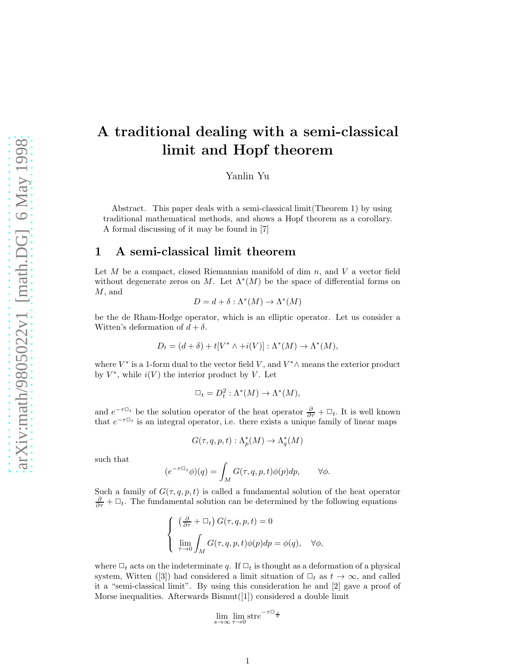# A traditional dealing with a semi-classical limit and Hopf theorem

Yanlin Yu

Abstract. This paper deals with a semi-classical limit(Theorem 1) by using traditional mathematical methods, and shows a Hopf theorem as a corollary. A formal discussing of it may be found in [7]

#### 1 A semi-classical limit theorem

Let  $M$  be a compact, closed Riemannian manifold of dim  $n$ , and  $V$  a vector field without degenerate zeros on M. Let  $\Lambda^*(M)$  be the space of differential forms on M, and

$$
D = d + \delta : \Lambda^*(M) \to \Lambda^*(M)
$$

be the de Rham-Hodge operator, which is an elliptic operator. Let us consider a Witten's deformation of  $d + \delta$ .

$$
D_t = (d + \delta) + t[V^* \wedge + i(V)] : \Lambda^*(M) \to \Lambda^*(M),
$$

where  $V^*$  is a 1-form dual to the vector field  $V$ , and  $V^*\wedge$  means the exterior product by  $V^*$ , while  $i(V)$  the interior product by V. Let

$$
\Box_t = D_t^2 : \Lambda^*(M) \to \Lambda^*(M),
$$

and  $e^{-\tau \Box_t}$  be the solution operator of the heat operator  $\frac{\partial}{\partial \tau} + \Box_t$ . It is well known that  $e^{-\tau \Box_t}$  is an integral operator, i.e. there exists a unique family of linear maps

$$
G(\tau, q, p, t) : \Lambda_p^*(M) \to \Lambda_q^*(M)
$$

such that

$$
(e^{-\tau \Box_t} \phi)(q) = \int_M G(\tau, q, p, t) \phi(p) dp, \qquad \forall \phi.
$$

Such a family of  $G(\tau, q, p, t)$  is called a fundamental solution of the heat operator  $\frac{\partial}{\partial \tau} + \Box_t$ . The fundamental solution can be determined by the following equations

$$
\begin{cases}\n\left(\frac{\partial}{\partial \tau} + \Box_t\right) G(\tau, q, p, t) = 0 \\
\lim_{\tau \to 0} \int_M G(\tau, q, p, t) \phi(p) dp = \phi(q), \quad \forall \phi,\n\end{cases}
$$

where  $\Box_t$  acts on the indeterminate q. If  $\Box_t$  is thought as a deformation of a physical system, Witten ([3]) had considered a limit situation of  $\Box_t$  as  $t \to \infty$ , and called it a "semi-classical limit". By using this consideration he and [2] gave a proof of Morse inequalities. Afterwards Bismut([1]) considered a double limit

$$
\lim_{s \to \infty} \lim_{\tau \to 0} \text{stre}^{-\tau \Box_{\frac{s}{\tau}}}
$$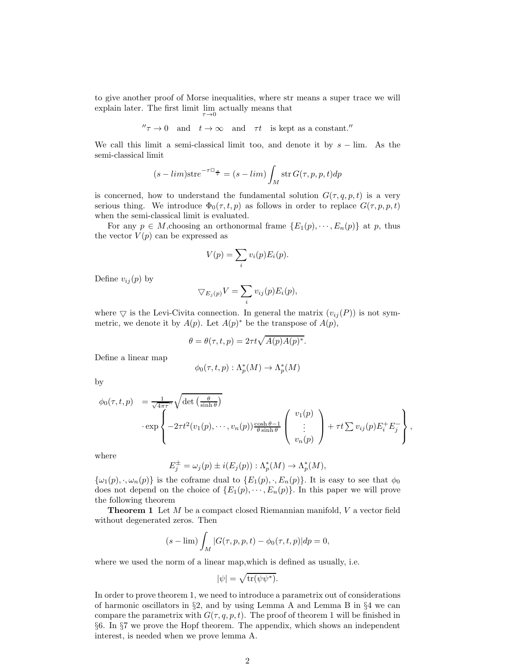to give another proof of Morse inequalities, where str means a super trace we will explain later. The first limit  $\lim_{\tau \to 0}$  actually means that

$$
''\tau \to 0
$$
 and  $t \to \infty$  and  $\tau t$  is kept as a constant."<sup>''</sup>

We call this limit a semi-classical limit too, and denote it by  $s - \lim$ . As the semi-classical limit

$$
(s - \lim) \operatorname{str} e^{-\tau \Box_{\frac{s}{\tau}}} = (s - \lim) \int_M \operatorname{str} G(\tau, p, p, t) dp
$$

is concerned, how to understand the fundamental solution  $G(\tau, q, p, t)$  is a very serious thing. We introduce  $\Phi_0(\tau, t, p)$  as follows in order to replace  $G(\tau, p, p, t)$ when the semi-classical limit is evaluated.

For any  $p \in M$ , choosing an orthonormal frame  $\{E_1(p), \dots, E_n(p)\}\$ at p, thus the vector  $V(p)$  can be expressed as

$$
V(p) = \sum_i v_i(p) E_i(p).
$$

Define  $v_{ij}(p)$  by

$$
\nabla_{E_j(p)} V = \sum_i v_{ij}(p) E_i(p),
$$

where  $\bigtriangledown$  is the Levi-Civita connection. In general the matrix  $(v_{ij}(P))$  is not symmetric, we denote it by  $A(p)$ . Let  $A(p)^*$  be the transpose of  $A(p)$ ,

$$
\theta = \theta(\tau, t, p) = 2\tau t \sqrt{A(p)A(p)^*}.
$$

Define a linear map

$$
\phi_0(\tau, t, p) : \Lambda_p^*(M) \to \Lambda_p^*(M)
$$

by

$$
\phi_0(\tau, t, p) = \frac{1}{\sqrt{4\pi\tau}^n} \sqrt{\det\left(\frac{\theta}{\sinh\theta}\right)}
$$

$$
\cdot \exp\left\{-2\tau t^2 (v_1(p), \cdots, v_n(p)) \frac{\cosh\theta - 1}{\theta \sinh\theta} \begin{pmatrix} v_1(p) \\ \vdots \\ v_n(p) \end{pmatrix} + \tau t \sum v_{ij}(p) E_i^+ E_j^- \right\},
$$

where

$$
E_j^{\pm} = \omega_j(p) \pm i(E_j(p)) : \Lambda_p^*(M) \to \Lambda_p^*(M),
$$

 $\{\omega_1(p), \cdot, \omega_n(p)\}\$ is the coframe dual to  $\{E_1(p), \cdot, E_n(p)\}\$ . It is easy to see that  $\phi_0$ does not depend on the choice of  $\{E_1(p), \dots, E_n(p)\}\$ . In this paper we will prove the following theorem

Theorem 1 Let M be a compact closed Riemannian manifold, V a vector field without degenerated zeros. Then

$$
(s - \lim) \int_M |G(\tau, p, p, t) - \phi_0(\tau, t, p)| dp = 0,
$$

where we used the norm of a linear map,which is defined as usually, i.e.

$$
|\psi| = \sqrt{\text{tr}(\psi \psi^*)}.
$$

In order to prove theorem 1, we need to introduce a parametrix out of considerations of harmonic oscillators in §2, and by using Lemma A and Lemma B in §4 we can compare the parametrix with  $G(\tau, q, p, t)$ . The proof of theorem 1 will be finished in §6. In §7 we prove the Hopf theorem. The appendix, which shows an independent interest, is needed when we prove lemma A.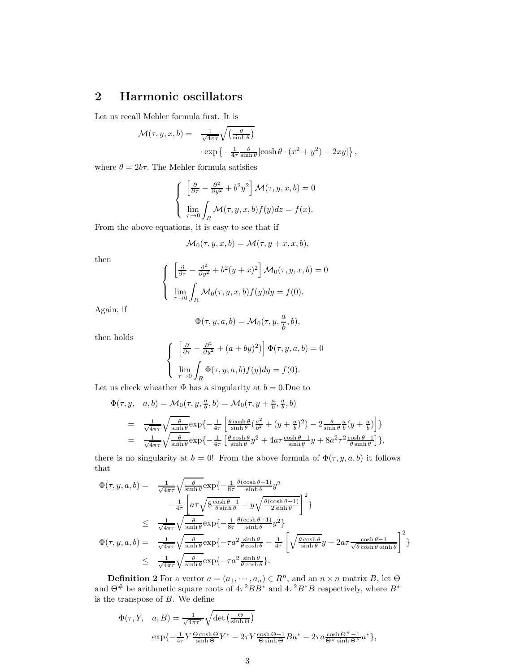## 2 Harmonic oscillators

Let us recall Mehler formula first. It is

$$
\mathcal{M}(\tau, y, x, b) = \frac{1}{\sqrt{4\pi\tau}} \sqrt{\left(\frac{\theta}{\sinh\theta}\right)} \cdot \exp\left\{-\frac{1}{4\tau} \frac{\theta}{\sinh\theta} [\cosh\theta \cdot (x^2 + y^2) - 2xy] \right\},\,
$$

where  $\theta = 2b\tau$ . The Mehler formula satisfies

$$
\begin{cases}\n\left[\frac{\partial}{\partial \tau} - \frac{\partial^2}{\partial y^2} + b^2 y^2\right] \mathcal{M}(\tau, y, x, b) = 0 \\
\lim_{\tau \to 0} \int_R \mathcal{M}(\tau, y, x, b) f(y) dz = f(x).\n\end{cases}
$$

From the above equations, it is easy to see that if

$$
\mathcal{M}_0(\tau, y, x, b) = \mathcal{M}(\tau, y + x, x, b),
$$

then

$$
\begin{cases}\n\left[\frac{\partial}{\partial \tau} - \frac{\partial^2}{\partial y^2} + b^2 (y+x)^2\right] \mathcal{M}_0(\tau, y, x, b) = 0 \\
\lim_{\tau \to 0} \int_R \mathcal{M}_0(\tau, y, x, b) f(y) dy = f(0).\n\end{cases}
$$

Again, if

$$
\Phi(\tau, y, a, b) = \mathcal{M}_0(\tau, y, \frac{a}{b}, b),
$$

then holds

$$
\begin{cases} \left[\frac{\partial}{\partial \tau} - \frac{\partial^2}{\partial y^2} + (a + by)^2\right] \Phi(\tau, y, a, b) = 0\\ \lim_{\tau \to 0} \int_R \Phi(\tau, y, a, b) f(y) dy = f(0). \end{cases}
$$

Let us check wheather  $\Phi$  has a singularity at  $b = 0$ . Due to

$$
\Phi(\tau, y, a, b) = \mathcal{M}_0(\tau, y, \frac{a}{b}, b) = \mathcal{M}_0(\tau, y + \frac{a}{b}, \frac{a}{b}, b)
$$
  
\n
$$
= \frac{1}{\sqrt{4\pi\tau}} \sqrt{\frac{\theta}{\sinh\theta}} \exp\left\{-\frac{1}{4\tau} \left[\frac{\theta \cosh\theta}{\sinh\theta} \left(\frac{a^2}{b^2} + (y + \frac{a}{b})^2\right) - 2\frac{\theta}{\sinh\theta} \frac{a}{b} (y + \frac{a}{b})\right]\right\}
$$
  
\n
$$
= \frac{1}{\sqrt{4\pi\tau}} \sqrt{\frac{\theta}{\sinh\theta}} \exp\left\{-\frac{1}{4\tau} \left[\frac{\theta \cosh\theta}{\sinh\theta} y^2 + 4a\tau \frac{\cosh\theta - 1}{\sinh\theta} y + 8a^2\tau^2 \frac{\cosh\theta - 1}{\theta \sinh\theta}\right]\right\},
$$

there is no singularity at  $b = 0$ ! From the above formula of  $\Phi(\tau, y, a, b)$  it follows that

$$
\Phi(\tau, y, a, b) = \frac{1}{\sqrt{4\pi\tau}} \sqrt{\frac{\theta}{\sinh \theta}} \exp\left\{-\frac{1}{8\tau} \frac{\theta(\cosh \theta + 1)}{\sinh \theta} y^2 - \frac{1}{4\tau} \left[ a\tau \sqrt{8 \frac{\cosh \theta - 1}{\theta \sinh \theta}} + y\sqrt{\frac{\theta(\cosh \theta - 1)}{2 \sinh \theta}} \right]^2 \right\}
$$
  
\n
$$
\leq \frac{1}{\sqrt{4\pi\tau}} \sqrt{\frac{\theta}{\sinh \theta}} \exp\left\{-\frac{1}{8\tau} \frac{\theta(\cosh \theta + 1)}{\sinh \theta} y^2\right\}
$$
  
\n
$$
\Phi(\tau, y, a, b) = \frac{1}{\sqrt{4\pi\tau}} \sqrt{\frac{\theta}{\sinh \theta}} \exp\left\{-\tau a^2 \frac{\sinh \theta}{\theta \cosh \theta} - \frac{1}{4\tau} \left[ \sqrt{\frac{\theta \cosh \theta}{\sinh \theta}} y + 2a\tau \frac{\cosh \theta - 1}{\sqrt{\theta \cosh \theta \sinh \theta}} \right]^2 \right\}
$$
  
\n
$$
\leq \frac{1}{\sqrt{4\pi\tau}} \sqrt{\frac{\theta}{\sinh \theta}} \exp\left\{-\tau a^2 \frac{\sinh \theta}{\theta \cosh \theta} \right\}.
$$

**Definition 2** For a vertor  $a = (a_1, \dots, a_n) \in R^n$ , and an  $n \times n$  matrix B, let  $\Theta$ and  $\Theta^{\#}$  be arithmetic square roots of  $4\tau^2BB^*$  and  $4\tau^2B^*B$  respectively, where  $B^*$ is the transpose of  $B$ . We define

$$
\Phi(\tau, Y, a, B) = \frac{1}{\sqrt{4\pi\tau}^n} \sqrt{\det\left(\frac{\Theta}{\sinh\Theta}\right)}
$$
  
\n
$$
\exp\left\{-\frac{1}{4\tau}Y\frac{\Theta\cosh\Theta}{\sinh\Theta}Y^* - 2\tau Y\frac{\cosh\Theta - 1}{\Theta\sinh\Theta}Ba^* - 2\tau a\frac{\cosh\Theta^{\#} - 1}{\Theta^{\#}\sinh\Theta^{\#}}a^*\right\},\right.
$$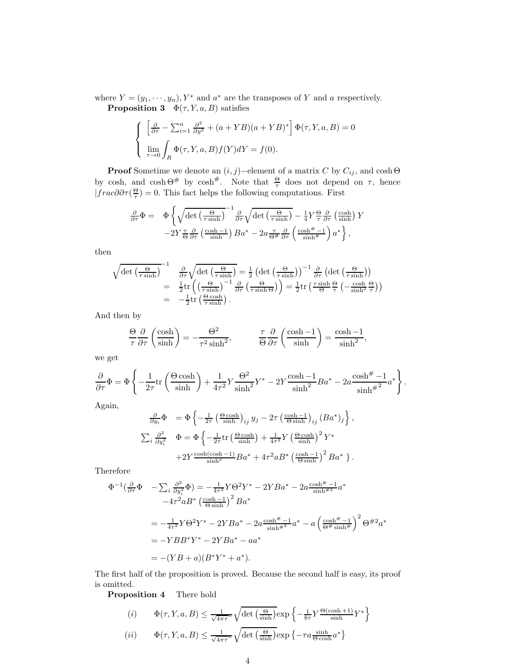where  $Y = (y_1, \dots, y_n), Y^*$  and  $a^*$  are the transposes of Y and a respectively. **Proposition 3**  $\Phi(\tau, Y, a, B)$  satisfies

$$
\begin{cases}\n\left[\frac{\partial}{\partial \tau} - \sum_{i=1}^{n} \frac{\partial^2}{\partial y^2} + (a + YB)(a + YB)^* \right] \Phi(\tau, Y, a, B) = 0 \\
\lim_{\tau \to 0} \int_R \Phi(\tau, Y, a, B) f(Y) dY = f(0).\n\end{cases}
$$

**Proof** Sometime we denote an  $(i, j)$ −element of a matrix C by  $C_{ij}$ , and cosh  $\Theta$ by cosh, and  $\cosh \Theta^{\#}$  by  $\cosh^{\#}$ . Note that  $\frac{\Theta}{\tau}$  does not depend on  $\tau$ , hence  $|frac\partial \partial \tau(\frac{\Theta}{\tau})=0$ . This fact helps the following computations. First

$$
\frac{\partial}{\partial \tau} \Phi = \Phi \left\{ \sqrt{\det \left( \frac{\Theta}{\tau \sinh} \right)}^{-1} \frac{\partial}{\partial \tau} \sqrt{\det \left( \frac{\Theta}{\tau \sinh} \right)} - \frac{1}{4} Y \frac{\Theta}{\tau} \frac{\partial}{\partial \tau} \left( \frac{\cosh}{\sinh} \right) Y \n- 2Y \frac{\tau}{\Theta} \frac{\partial}{\partial \tau} \left( \frac{\cosh - 1}{\sinh} \right) B a^* - 2a \frac{\tau}{\Theta^{\#}} \frac{\partial}{\partial \tau} \left( \frac{\cosh^{\#} - 1}{\sinh^{\#}} \right) a^* \right\},
$$

then

$$
\sqrt{\det\left(\frac{\Theta}{\tau\sinh}\right)^{-1}} \frac{\frac{\partial}{\partial\tau}\sqrt{\det\left(\frac{\Theta}{\tau\sinh}\right)}}{\frac{1}{\partial\tau}\sqrt{\det\left(\frac{\Theta}{\tau\sinh}\right)^{-1}}\frac{\frac{\partial}{\partial\tau}\left(\det\left(\frac{\Theta}{\tau\sinh}\right)\right)^{-1}\frac{\partial}{\partial\tau}\left(\det\left(\frac{\Theta}{\tau\sinh}\right)\right)}}{\frac{1}{\partial\tau}\left(\frac{\Theta}{\tau\sinh}\right)\left(\frac{\Theta}{\tau\sinh}\right)\frac{1}{\partial\tau}\left(\frac{\Theta}{\tau\sinh}\right)\frac{1}{\tau}} = -\frac{1}{2}\mathrm{tr}\left(\frac{\Theta\cosh}{\tau\sinh}\right).
$$

And then by

$$
\frac{\Theta}{\tau} \frac{\partial}{\partial \tau} \left( \frac{\cosh}{\sinh} \right) = -\frac{\Theta^2}{\tau^2 \sinh^2}, \qquad \frac{\tau}{\Theta} \frac{\partial}{\partial \tau} \left( \frac{\cosh - 1}{\sinh} \right) = \frac{\cosh - 1}{\sinh^2},
$$

we get

$$
\frac{\partial}{\partial \tau} \Phi = \Phi \left\{ -\frac{1}{2\tau} \text{tr} \left( \frac{\Theta \cosh}{\sinh} \right) + \frac{1}{4\tau^2} Y \frac{\Theta^2}{\sinh^2} Y^* - 2Y \frac{\cosh - 1}{\sinh^2} B a^* - 2a \frac{\cosh^{\#} - 1}{\sinh^{\#}2} a^* \right\}.
$$

Again,

$$
\frac{\partial}{\partial y_i} \Phi = \Phi \left\{ -\frac{1}{2\tau} \left( \frac{\Theta \cosh}{\sinh} \right)_{ij} y_j - 2\tau \left( \frac{\cosh - 1}{\Theta \sinh} \right)_{ij} (Ba^*)_j \right\},
$$
  

$$
\sum_i \frac{\partial^2}{\partial y_i^2} \Phi = \Phi \left\{ -\frac{1}{2\tau} \text{tr} \left( \frac{\Theta \cosh}{\sinh} \right) + \frac{1}{4\tau^2} Y \left( \frac{\Theta \cosh}{\sinh} \right)^2 Y^* \right.
$$
  

$$
+ 2Y \frac{\cosh(\cosh - 1)}{\sinh^2} Ba^* + 4\tau^2 a B^* \left( \frac{\cosh - 1}{\Theta \sinh} \right)^2 Ba^* \right\}.
$$

Therefore

$$
\Phi^{-1}(\frac{\partial}{\partial \tau}\Phi - \sum_{i} \frac{\partial^{2}}{\partial y_{i}^{2}}\Phi) = -\frac{1}{4\tau^{2}}Y\Theta^{2}Y^{*} - 2YBa^{*} - 2a\frac{\cosh^{#}-1}{\sinh^{#2}}a^{*}
$$
  

$$
-4\tau^{2}aB^{*} \left(\frac{\cosh-1}{\Theta \sinh}\right)^{2}Ba^{*}
$$
  

$$
= -\frac{1}{4\tau^{2}}Y\Theta^{2}Y^{*} - 2YBa^{*} - 2a\frac{\cosh^{#}-1}{\sinh^{#2}}a^{*} - a\left(\frac{\cosh^{#}-1}{\Theta^{#}\sinh^{#}}\right)^{2}\Theta^{#2}a^{*}
$$
  

$$
= -YBB^{*}Y^{*} - 2YBa^{*} - aa^{*}
$$
  

$$
= -(YB + a)(B^{*}Y^{*} + a^{*}).
$$

The first half of the proposition is proved. Because the second half is easy, its proof is omitted.

Proposition 4 There hold

$$
(i) \qquad \Phi(\tau, Y, a, B) \le \frac{1}{\sqrt{4\pi\tau}^n} \sqrt{\det\left(\frac{\Theta}{\sinh}\right)} \exp\left\{-\frac{1}{8\tau} Y \frac{\Theta(\cosh 1)}{\sinh} Y^*\right\}
$$

$$
(ii) \qquad \Phi(\tau, Y, a, B) \le \frac{1}{\sqrt{4\pi\tau}^n} \sqrt{\det\left(\frac{\Theta}{\sinh}\right)} \exp\left\{-\tau a \frac{\sinh}{\Theta \cosh} a^*\right\}
$$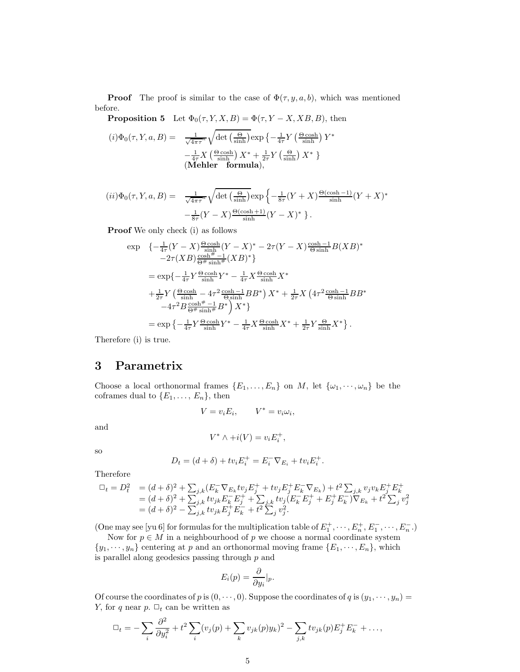**Proof** The proof is similar to the case of  $\Phi(\tau, y, a, b)$ , which was mentioned before.

**Proposition 5** Let  $\Phi_0(\tau, Y, X, B) = \Phi(\tau, Y - X, XB, B)$ , then

$$
(i) \Phi_0(\tau, Y, a, B) = \frac{1}{\sqrt{4\pi\tau^n}} \sqrt{\det\left(\frac{\Theta}{\sinh}\right)} \exp\left\{-\frac{1}{4\tau} Y \left(\frac{\Theta \cosh}{\sinh}\right) Y^* - \frac{1}{4\tau} X \left(\frac{\Theta \cosh}{\sinh}\right) X^* + \frac{1}{2\tau} Y \left(\frac{\Theta}{\sinh}\right) X^* \right\}
$$
  
(**Mehler formula**),

$$
(ii)\Phi_0(\tau, Y, a, B) = \frac{1}{\sqrt{4\pi\tau^n}} \sqrt{\det\left(\frac{\Theta}{\sinh}\right)} \exp\left\{-\frac{1}{8\tau}(Y+X)\frac{\Theta(\cosh-1)}{\sinh}(Y+X)^* -\frac{1}{8\tau}(Y-X)\frac{\Theta(\cosh+1)}{\sinh}(Y-X)^*\right\}.
$$

Proof We only check (i) as follows

$$
\exp \left\{ -\frac{1}{4\tau}(Y-X)\frac{\Theta \cosh}{\sinh}(Y-X)^* - 2\tau(Y-X)\frac{\cosh-1}{\Theta \sinh}B(XB)^* - 2\tau(XB)\frac{\cosh+1}{\Theta^{\#} \sinh}(XB)^* \right\}
$$
\n
$$
= \exp\left\{ -\frac{1}{4\tau}Y\frac{\Theta \cosh}{\sinh}Y^* - \frac{1}{4\tau}X\frac{\Theta \cosh}{\sinh}X^* + \frac{1}{2\tau}Y\left(\frac{\Theta \cosh}{\sinh} - 4\tau^2\frac{\cosh-1}{\Theta \sinh}BB^*\right)X^* + \frac{1}{2\tau}X\left(4\tau^2\frac{\cosh-1}{\Theta \sinh}BB^* - 4\tau^2B\frac{\cosh^{\#}-1}{\Theta^{\#} \sinh}B^*\right)X^* \right\}
$$
\n
$$
= \exp\left\{ -\frac{1}{4\tau}Y\frac{\Theta \cosh}{\sinh}Y^* - \frac{1}{4\tau}X\frac{\Theta \cosh}{\sinh}X^* + \frac{1}{2\tau}Y\frac{\Theta}{\sinh}X^*\right\}.
$$

Therefore (i) is true.

#### 3 Parametrix

Choose a local orthonormal frames  $\{E_1, \ldots, E_n\}$  on M, let  $\{\omega_1, \cdots, \omega_n\}$  be the coframes dual to  $\{E_1, \ldots, E_n\}$ , then

 $V = v_i E_i, \qquad V^* = v_i \omega_i,$ 

and

$$
V^* \wedge +i(V) = v_i E_i^+,
$$

so

$$
D_t = (d + \delta) + tv_i E_i^+ = E_i^- \nabla_{E_i} + tv_i E_i^+.
$$

Therefore

$$
\begin{array}{lll}\n\Box_t = D_t^2 & = (d+\delta)^2 + \sum_{j,k} (E_k^-\nabla_{E_k}tv_jE_j^+ + tv_jE_j^+E_k^-\nabla_{E_k}) + t^2 \sum_{j,k} v_j v_k E_j^+E_k^+ \\
& = (d+\delta)^2 + \sum_{j,k} tv_{jk}E_k^-\nabla_j^+ + \sum_{j,k} tv_j (E_k^-\nabla_j^+ + E_j^+E_k^-)\nabla_{E_k} + t^2 \sum_j v_j^2 \\
& = (d+\delta)^2 - \sum_{j,k} tv_{jk}E_j^+E_k^- + t^2 \sum_j v_j^2.\n\end{array}
$$

(One may see [yu 6] for formulas for the multiplication table of  $E_1^+$ ,  $\cdots$ ,  $E_n^+$ ,  $E_1^-$ ,  $\cdots$ ,  $E_n^-$ .)

Now for  $p \in M$  in a neighbourhood of  $p$  we choose a normal coordinate system  $\{y_1, \dots, y_n\}$  centering at p and an orthonormal moving frame  $\{E_1, \dots, E_n\}$ , which is parallel along geodesics passing through p and

$$
E_i(p) = \frac{\partial}{\partial y_i}|_p.
$$

Of course the coordinates of p is  $(0, \dots, 0)$ . Suppose the coordinates of q is  $(y_1, \dots, y_n)$  = Y, for q near  $p$ .  $\Box_t$  can be written as

$$
\Box_t = -\sum_i \frac{\partial^2}{\partial y_i^2} + t^2 \sum_i (v_j(p) + \sum_k v_{jk}(p)y_k)^2 - \sum_{j,k} t v_{jk}(p) E_j^+ E_k^- + \dots,
$$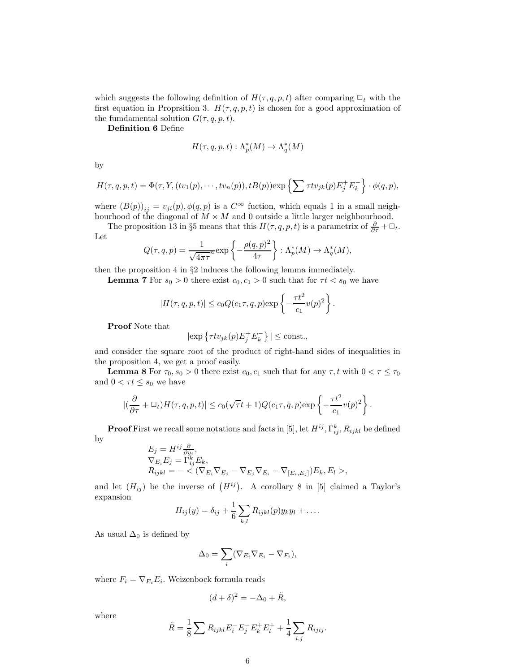which suggests the following definition of  $H(\tau, q, p, t)$  after comparing  $\Box_t$  with the first equation in Proprsition 3.  $H(\tau, q, p, t)$  is chosen for a good approximation of the fumdamental solution  $G(\tau, q, p, t)$ .

Definition 6 Define

$$
H(\tau, q, p, t) : \Lambda_p^*(M) \to \Lambda_q^*(M)
$$

by

$$
H(\tau, q, p, t) = \Phi(\tau, Y, (tv_1(p), \cdots, tv_n(p)), tB(p)) \exp\left\{\sum \tau tv_{jk}(p) E_j^+ E_k^-\right\} \cdot \phi(q, p),
$$

where  $(B(p))_{ij} = v_{ji}(p), \phi(q, p)$  is a  $C^{\infty}$  fuction, which equals 1 in a small neighbourhood of the diagonal of  $M \times M$  and 0 outside a little larger neighbourhood.

The proposition 13 in §5 means that this  $H(\tau, q, p, t)$  is a parametrix of  $\frac{\partial}{\partial \tau} + \Box_t$ . Let

$$
Q(\tau, q, p) = \frac{1}{\sqrt{4\pi\tau}^n} \exp\left\{-\frac{\rho(q, p)^2}{4\tau}\right\} : \Lambda_p^*(M) \to \Lambda_q^*(M),
$$

then the proposition 4 in §2 induces the following lemma immediately.

**Lemma 7** For  $s_0 > 0$  there exist  $c_0, c_1 > 0$  such that for  $\tau t < s_0$  we have

$$
|H(\tau,q,p,t)| \leq c_0 Q(c_1 \tau,q,p) \exp\left\{-\frac{\tau t^2}{c_1}v(p)^2\right\}.
$$

Proof Note that

$$
|\exp \left\{ \tau t v_{jk}(p) E_j^+ E_k^- \right\}| \le \text{const.},
$$

and consider the square root of the product of right-hand sides of inequalities in the proposition 4, we get a proof easily.

**Lemma 8** For  $\tau_0$ ,  $s_0 > 0$  there exist  $c_0$ ,  $c_1$  such that for any  $\tau$ , t with  $0 < \tau \leq \tau_0$ and  $0 < \tau t \leq s_0$  we have

$$
|(\frac{\partial}{\partial \tau} + \Box_t)H(\tau, q, p, t)| \leq c_0(\sqrt{\tau}t + 1)Q(c_1\tau, q, p) \exp\left\{-\frac{\tau t^2}{c_1}v(p)^2\right\}.
$$

**Proof** First we recall some notations and facts in [5], let  $H^{ij}$ ,  $\Gamma^k_{ij}$ ,  $R_{ijkl}$  be defined by  $\overline{f}$  = High  $\overline{f}$   $\overline{f}$ 

$$
E_j = H^{ij} \frac{\partial}{\partial y_i},
$$
  
\n
$$
\nabla_{E_i} E_j = \Gamma_{ij}^k E_k,
$$
  
\n
$$
R_{ijkl} = -\langle (\nabla_{E_i} \nabla_{E_j} - \nabla_{E_j} \nabla_{E_i} - \nabla_{[E_i, E_j]}) E_k, E_l \rangle,
$$

and let  $(H_{ij})$  be the inverse of  $(H^{ij})$ . A corollary 8 in [5] claimed a Taylor's expansion

$$
H_{ij}(y) = \delta_{ij} + \frac{1}{6} \sum_{k,l} R_{ijkl}(p) y_k y_l + \dots
$$

As usual  $\Delta_0$  is defined by

$$
\Delta_0 = \sum_i (\nabla_{E_i} \nabla_{E_i} - \nabla_{F_i}),
$$

where  $F_i = \nabla_{E_i} E_i$ . Weizenbock formula reads

$$
(d+\delta)^2 = -\Delta_0 + \tilde{R},
$$

where

$$
\tilde{R} = \frac{1}{8} \sum R_{ijkl} E_i^- E_j^- E_k^+ E_l^+ + \frac{1}{4} \sum_{i,j} R_{ijij}.
$$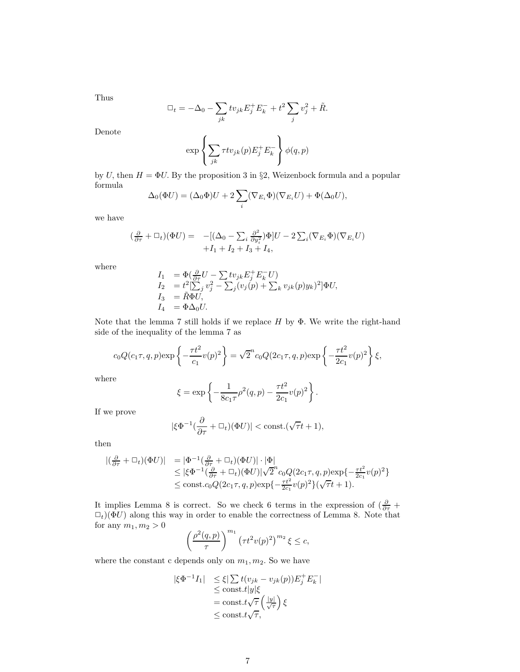Thus

$$
\Box_t = -\Delta_0 - \sum_{jk} t v_{jk} E_j^+ E_k^- + t^2 \sum_j v_j^2 + \tilde{R}.
$$

Denote

$$
\exp\left\{\sum_{jk}\tau tv_{jk}(p)E_j^+E_k^-\right\}\phi(q,p)
$$

by U, then  $H = \Phi U$ . By the proposition 3 in §2, Weizenbock formula and a popular formula

$$
\Delta_0(\Phi U) = (\Delta_0 \Phi)U + 2\sum_i (\nabla_{E_i} \Phi)(\nabla_{E_i} U) + \Phi(\Delta_0 U),
$$

we have

$$
\begin{array}{rcl}\n(\frac{\partial}{\partial \tau} + \Box_t)(\Phi U) & = & -[(\Delta_0 - \sum_i \frac{\partial^2}{\partial y_i^2})\Phi]U - 2\sum_i (\nabla_{E_i}\Phi)(\nabla_{E_i}U) \\
& & + I_1 + I_2 + I_3 + I_4,\n\end{array}
$$

where

$$
I_1 = \Phi(\frac{\partial}{\partial \tau}U - \sum tv_{jk}E_j^+E_k^-U)
$$
  
\n
$$
I_2 = t^2[\sum_j v_j^2 - \sum_j (v_j(p) + \sum_k v_{jk}(p)y_k)^2]\Phi U,
$$
  
\n
$$
I_3 = \tilde{R}\Phi U,
$$
  
\n
$$
I_4 = \Phi \Delta_0 U.
$$

Note that the lemma 7 still holds if we replace  $H$  by  $\Phi$ . We write the right-hand side of the inequality of the lemma 7 as

$$
c_0 Q(c_1 \tau, q, p) \exp\left\{-\frac{\tau t^2}{c_1} v(p)^2\right\} = \sqrt{2}^n c_0 Q(2c_1 \tau, q, p) \exp\left\{-\frac{\tau t^2}{2c_1} v(p)^2\right\} \xi,
$$

where

$$
\xi = \exp \left\{ -\frac{1}{8c_1\tau} \rho^2(q, p) - \frac{\tau t^2}{2c_1} v(p)^2 \right\}.
$$

If we prove

$$
|\xi\Phi^{-1}(\frac{\partial}{\partial \tau} + \Box_t)(\Phi U)| < \text{const.}(\sqrt{\tau}t + 1),
$$

then

$$
\begin{array}{lll} |(\frac{\partial}{\partial \tau} + \Box_t)(\Phi U)| & = |\Phi^{-1}(\frac{\partial}{\partial \tau} + \Box_t)(\Phi U)| \cdot |\Phi| \\ & \leq |\xi \Phi^{-1}(\frac{\partial}{\partial \tau} + \Box_t)(\Phi U)|\sqrt{2}^n c_0 Q(2c_1 \tau, q, p) \exp\{-\frac{\tau t^2}{2c_1} v(p)^2\} \\ & \leq \text{const.} c_0 Q(2c_1 \tau, q, p) \exp\{-\frac{\tau t^2}{2c_1} v(p)^2\}(\sqrt{\tau} t + 1). \end{array}
$$

It implies Lemma 8 is correct. So we check 6 terms in the expression of  $\left(\frac{\partial}{\partial \tau} + \frac{\partial}{\partial \tau}\right)$  $\Box_t$ ( $\Phi U$ ) along this way in order to enable the correctness of Lemma 8. Note that for any  $m_1, m_2 > 0$ 

$$
\left(\frac{\rho^2(q,p)}{\tau}\right)^{m_1} \left(\tau t^2 v(p)^2\right)^{m_2} \xi \leq c,
$$

where the constant c depends only on  $m_1, m_2$ . So we have

$$
\begin{array}{rcl} |\xi\Phi^{-1}I_1| & \leq \xi|\sum t(v_{jk}-v_{jk}(p))E_j^+E_k^-| \\ & \leq \text{const.}t|y|\xi \\ & = \text{const.}t\sqrt{\tau}\left(\frac{|y|}{\sqrt{\tau}}\right)\xi \\ & \leq \text{const.}t\sqrt{\tau}, \end{array}
$$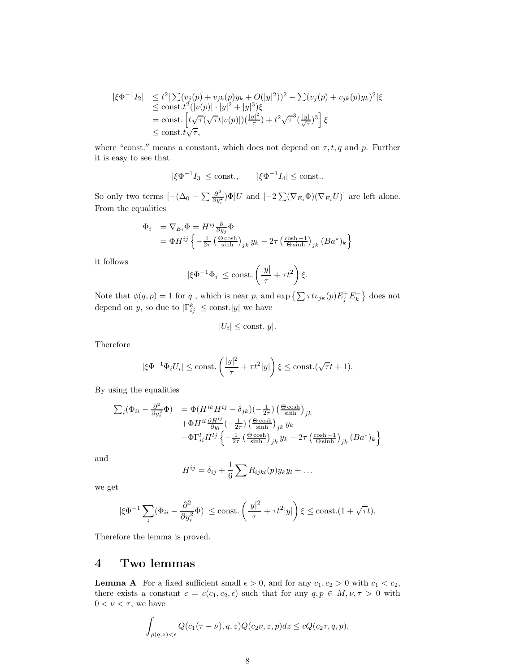$$
\begin{array}{ll}\n|\xi\Phi^{-1}I_2| & \leq t^2|\sum(v_j(p)+v_{jk}(p)y_k+O(|y|^2))^2 - \sum(v_j(p)+v_{jk}(p)y_k)^2|\xi \\
& \leq \text{const.} t^2(|v(p)|\cdot|y|^2+|y|^3)\xi \\
& = \text{const.}\left[t\sqrt{\tau}(\sqrt{\tau}t|v(p)|)(\frac{|y|^2}{\tau})+t^2\sqrt{\tau}^3(\frac{|y|}{\sqrt{\tau}})^3\right]\xi \\
& \leq \text{const.} t\sqrt{\tau},\n\end{array}
$$

where "const." means a constant, which does not depend on  $\tau$ ,  $t$ ,  $q$  and  $p$ . Further it is easy to see that

$$
|\xi\Phi^{-1}I_3| \le \text{const.}, \qquad |\xi\Phi^{-1}I_4| \le \text{const.}.
$$

So only two terms  $[-(\Delta_0 - \sum \frac{\partial^2}{\partial y_i^2})]$  $\frac{\partial^2}{\partial y_i^2}$  ) $\Phi$ ]U and  $[-2 \sum (\nabla_{E_i} \Phi)(\nabla_{E_i} U)]$  are left alone. From the equalities

$$
\begin{array}{ll} \Phi_i & = \nabla_{E_i} \Phi = H^{ij} \frac{\partial}{\partial y_j} \Phi \\ & = \Phi H^{ij} \left\{ -\frac{1}{2\tau} \left( \frac{\Theta \cosh}{\sinh} \right)_{jk} y_k - 2\tau \left( \frac{\cosh - 1}{\Theta \sinh} \right)_{jk} (Ba^*)_k \right\} \end{array}
$$

it follows

$$
|\xi\Phi^{-1}\Phi_i|\leq \text{const.}\left(\frac{|y|}{\tau}+\tau t^2\right)\xi.
$$

Note that  $\phi(q, p) = 1$  for q, which is near p, and  $\exp\left\{\sum \tau t v_{jk}(p) E_j^+ E_k^-\right\}$  does not depend on y, so due to  $|\Gamma_{ij}^k| \le \text{const.}|y|$  we have

$$
|U_i| \le \text{const.} |y|.
$$

Therefore

$$
|\xi\Phi^{-1}\Phi_i U_i| \le \text{const.} \left(\frac{|y|^2}{\tau} + \tau t^2 |y|\right) \xi \le \text{const.} (\sqrt{\tau}t + 1).
$$

By using the equalities

$$
\sum_{i} (\Phi_{ii} - \frac{\partial^2}{\partial y_i^2} \Phi) = \Phi(H^{ik} H^{ij} - \delta_{jk}) \left(-\frac{1}{2\tau}\right) \left(\frac{\Theta \cosh}{\sinh}\right)_{jk} \n+ \Phi H^{il} \frac{\partial H^{ij}}{\partial y_l} \left(-\frac{1}{2\tau}\right) \left(\frac{\Theta \cosh}{\sinh}\right)_{jk} y_k \n- \Phi \Gamma_{ii}^l H^{lj} \left\{-\frac{1}{2\tau} \left(\frac{\Theta \cosh}{\sinh}\right)_{jk} y_k - 2\tau \left(\frac{\cosh - 1}{\Theta \sinh}\right)_{jk} (Ba^*)_k \right\}
$$

and

$$
H^{ij} = \delta_{ij} + \frac{1}{6} \sum R_{ijkl}(p)y_k y_l + \dots
$$

we get

$$
|\xi\Phi^{-1}\sum_{i}(\Phi_{ii}-\frac{\partial^2}{\partial y_i^2}\Phi)|\leq \text{const.}\left(\frac{|y|^2}{\tau}+\tau t^2|y|\right)\xi\leq \text{const.}(1+\sqrt{\tau}t).
$$

Therefore the lemma is proved.

#### 4 Two lemmas

**Lemma A** For a fixed sufficient small  $\epsilon > 0$ , and for any  $c_1, c_2 > 0$  with  $c_1 < c_2$ , there exists a constant  $c = c(c_1, c_2, \epsilon)$  such that for any  $q, p \in M, \nu, \tau > 0$  with  $0<\nu<\tau,$  we have

$$
\int_{\rho(q,z)<\epsilon} Q(c_1(\tau-\nu),q,z)Q(c_2\nu,z,p)dz \leq cQ(c_2\tau,q,p),
$$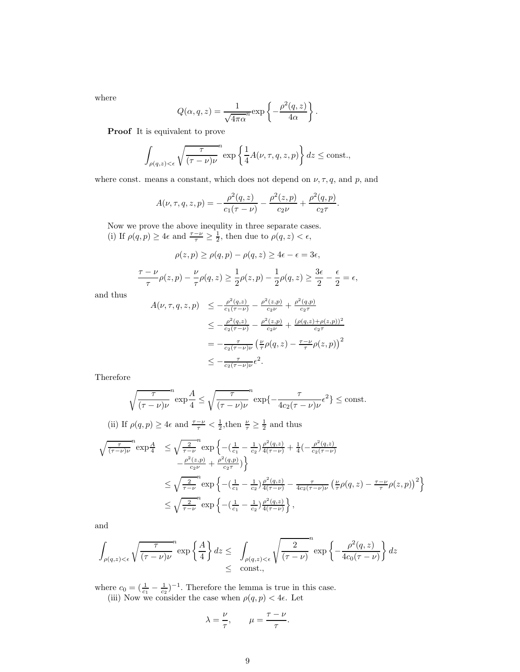where

$$
Q(\alpha, q, z) = \frac{1}{\sqrt{4\pi\alpha}} \exp\left\{-\frac{\rho^2(q, z)}{4\alpha}\right\}.
$$

Proof It is equivalent to prove

$$
\int_{\rho(q,z)<\epsilon} \sqrt{\frac{\tau}{(\tau-\nu)\nu}} \exp\left\{\frac{1}{4}A(\nu,\tau,q,z,p)\right\} dz \le \text{const.},
$$

where const. means a constant, which does not depend on  $\nu, \tau, q$ , and  $p$ , and

$$
A(\nu, \tau, q, z, p) = -\frac{\rho^2(q, z)}{c_1(\tau - \nu)} - \frac{\rho^2(z, p)}{c_2 \nu} + \frac{\rho^2(q, p)}{c_2 \tau}.
$$

Now we prove the above inequlity in three separate cases. (i) If  $\rho(q, p) \geq 4\epsilon$  and  $\frac{\tau - \nu}{\tau} \geq \frac{1}{2}$ , then due to  $\rho(q, z) < \epsilon$ ,

$$
\rho(z, p) \ge \rho(q, p) - \rho(q, z) \ge 4\epsilon - \epsilon = 3\epsilon,
$$
  

$$
\frac{\tau - \nu}{\tau} \rho(z, p) - \frac{\nu}{\tau} \rho(q, z) \ge \frac{1}{2} \rho(z, p) - \frac{1}{2} \rho(q, z) \ge \frac{3\epsilon}{2} - \frac{\epsilon}{2} = \epsilon,
$$

and thus

$$
A(\nu, \tau, q, z, p) \le -\frac{\rho^2(q, z)}{c_1(\tau - \nu)} - \frac{\rho^2(z, p)}{c_2 \nu} + \frac{\rho^2(q, p)}{c_2 \tau} \le -\frac{\rho^2(q, z)}{c_2(\tau - \nu)} - \frac{\rho^2(z, p)}{c_2 \nu} + \frac{(\rho(q, z) + \rho(z, p))^2}{c_2 \tau} = -\frac{\tau}{c_2(\tau - \nu)\nu} \left(\frac{\nu}{\tau} \rho(q, z) - \frac{\tau - \nu}{\tau} \rho(z, p)\right)^2 \le -\frac{\tau}{c_2(\tau - \nu)\nu} \epsilon^2.
$$

Therefore

$$
\sqrt{\frac{\tau}{(\tau-\nu)\nu}}^n \exp\frac{A}{4} \le \sqrt{\frac{\tau}{(\tau-\nu)\nu}}^n \exp\left\{-\frac{\tau}{4c_2(\tau-\nu)\nu}\epsilon^2\right\} \le \text{const.}
$$

(ii) If  $\rho(q, p) \geq 4\epsilon$  and  $\frac{\tau - \nu}{\tau} < \frac{1}{2}$ , then  $\frac{\nu}{\tau} \geq \frac{1}{2}$  and thus

$$
\sqrt{\frac{\tau}{(\tau-\nu)\nu}}^{n} \exp{\frac{A}{4}} \le \sqrt{\frac{2}{\tau-\nu}}^{n} \exp{\left\{-\left(\frac{1}{c_1}-\frac{1}{c_2}\right)\frac{\rho^2(q,z)}{4(\tau-\nu)}+\frac{1}{4}\left(-\frac{\rho^2(q,z)}{c_2(\tau-\nu)}\right.\right.\left.-\frac{\rho^2(z,p)}{c_2\nu}+\frac{\rho^2(q,p)}{c_2\tau}\right)\right\}
$$
\n
$$
\le \sqrt{\frac{2}{\tau-\nu}}^{n} \exp{\left\{-\left(\frac{1}{c_1}-\frac{1}{c_2}\right)\frac{\rho^2(q,z)}{4(\tau-\nu)}-\frac{\tau}{4c_2(\tau-\nu)\nu}\left(\frac{\nu}{\tau}\rho(q,z)-\frac{\tau-\nu}{\tau}\rho(z,p)\right)^2\right\}}
$$
\n
$$
\le \sqrt{\frac{2}{\tau-\nu}}^{n} \exp{\left\{-\left(\frac{1}{c_1}-\frac{1}{c_2}\right)\frac{\rho^2(q,z)}{4(\tau-\nu)}\right\}},
$$

and

$$
\int_{\rho(q,z)<\epsilon} \sqrt{\frac{\tau}{(\tau-\nu)\nu}} \exp\left\{\frac{A}{4}\right\} dz \leq \int_{\rho(q,z)<\epsilon} \sqrt{\frac{2}{(\tau-\nu)}} \exp\left\{-\frac{\rho^2(q,z)}{4c_0(\tau-\nu)}\right\} dz
$$
  

$$
\leq \text{ const.},
$$

where  $c_0 = (\frac{1}{c_1} - \frac{1}{c_2})^{-1}$ . Therefore the lemma is true in this case. (iii) Now we consider the case when  $\rho(q, p) < 4\epsilon$ . Let

$$
\lambda = \frac{\nu}{\tau}, \qquad \mu = \frac{\tau - \nu}{\tau}.
$$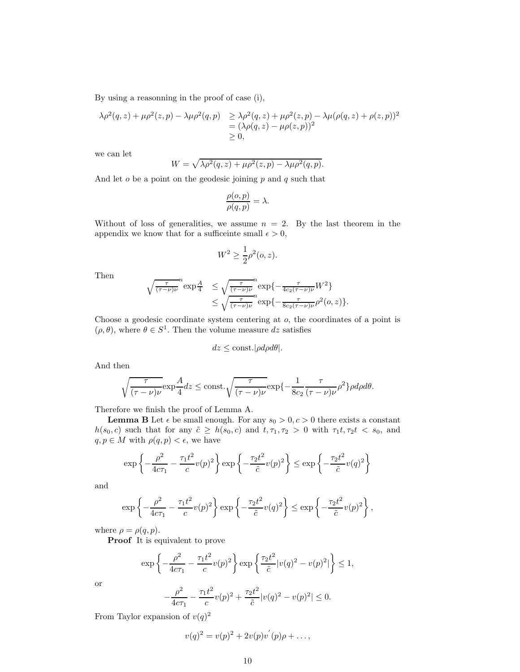By using a reasonning in the proof of case (i),

$$
\lambda \rho^{2}(q, z) + \mu \rho^{2}(z, p) - \lambda \mu \rho^{2}(q, p) \ge \lambda \rho^{2}(q, z) + \mu \rho^{2}(z, p) - \lambda \mu (\rho(q, z) + \rho(z, p))^{2}
$$
  
=  $(\lambda \rho(q, z) - \mu \rho(z, p))^{2}$   
 $\ge 0,$ 

we can let

$$
W = \sqrt{\lambda \rho^2(q, z) + \mu \rho^2(z, p) - \lambda \mu \rho^2(q, p)}.
$$

And let  $o$  be a point on the geodesic joining  $p$  and  $q$  such that

$$
\frac{\rho(o,p)}{\rho(q,p)} = \lambda.
$$

Without of loss of generalities, we assume  $n = 2$ . By the last theorem in the appendix we know that for a sufficeinte small  $\epsilon > 0$ ,

$$
W^2 \ge \frac{1}{2}\rho^2(o, z).
$$

Then

$$
\begin{array}{ll}\n\sqrt{\frac{\tau}{(\tau-\nu)\nu}}^{n} \exp \frac{A}{4} & \leq \sqrt{\frac{\tau}{(\tau-\nu)\nu}}^{n} \exp \left\{-\frac{\tau}{4c_{2}(\tau-\nu)\nu}W^{2}\right\} \\
& \leq \sqrt{\frac{\tau}{(\tau-\nu)\nu}}^{n} \exp \left\{-\frac{\tau}{8c_{2}(\tau-\nu)\nu}\rho^{2}(o,z)\right\}.\n\end{array}
$$

Choose a geodesic coordinate system centering at o, the coordinates of a point is  $(\rho, \theta)$ , where  $\theta \in S^1$ . Then the volume measure dz satisfies

$$
dz \leq \text{const.} |\rho d\rho d\theta|.
$$

And then

$$
\sqrt{\frac{\tau}{(\tau-\nu)\nu}}\exp\frac{A}{4}dz \le \text{const.}\sqrt{\frac{\tau}{(\tau-\nu)\nu}}\exp\{-\frac{1}{8c_2}\frac{\tau}{(\tau-\nu)\nu}\rho^2\}\rho d\rho d\theta.
$$

Therefore we finish the proof of Lemma A.

**Lemma B** Let  $\epsilon$  be small enough. For any  $s_0 > 0, c > 0$  there exists a constant  $h(s_0, c)$  such that for any  $\tilde{c} \geq h(s_0, c)$  and  $t, \tau_1, \tau_2 > 0$  with  $\tau_1 t, \tau_2 t < s_0$ , and  $q, p \in M$  with  $\rho(q, p) < \epsilon$ , we have

$$
\exp\left\{-\frac{\rho^2}{4c\tau_1} - \frac{\tau_1 t^2}{c}v(p)^2\right\}\exp\left\{-\frac{\tau_2 t^2}{\tilde{c}}v(p)^2\right\} \le \exp\left\{-\frac{\tau_2 t^2}{\tilde{c}}v(q)^2\right\}
$$

and

$$
\exp\left\{-\frac{\rho^2}{4c\tau_1}-\frac{\tau_1t^2}{c}v(p)^2\right\}\exp\left\{-\frac{\tau_2t^2}{\tilde{c}}v(q)^2\right\}\leq \exp\left\{-\frac{\tau_2t^2}{\tilde{c}}v(p)^2\right\},\,
$$

where  $\rho = \rho(q, p)$ .

Proof It is equivalent to prove

$$
\exp\left\{-\frac{\rho^2}{4c\tau_1} - \frac{\tau_1 t^2}{c}v(p)^2\right\}\exp\left\{\frac{\tau_2 t^2}{\tilde{c}}|v(q)^2 - v(p)^2|\right\} \le 1,
$$

or

$$
-\frac{\rho^2}{4c\tau_1} - \frac{\tau_1 t^2}{c} v(p)^2 + \frac{\tau_2 t^2}{\tilde{c}} |v(q)^2 - v(p)^2| \le 0.
$$

From Taylor expansion of  $v(q)^2$ 

$$
v(q)^{2} = v(p)^{2} + 2v(p)v'(p)\rho + \dots,
$$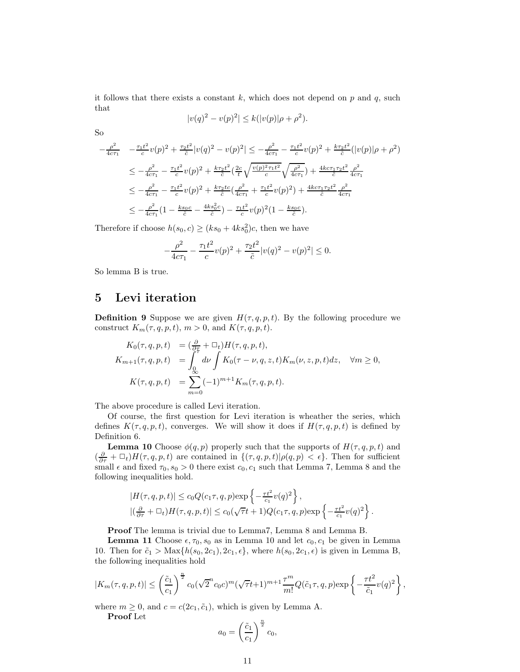it follows that there exists a constant  $k$ , which does not depend on p and q, such that

$$
|v(q)^{2} - v(p)^{2}| \le k(|v(p)|\rho + \rho^{2}).
$$

So

$$
-\frac{\rho^2}{4c\tau_1} - \frac{\tau_1 t^2}{c} v(p)^2 + \frac{\tau_2 t^2}{\tilde{c}} |v(q)^2 - v(p)^2| \leq -\frac{\rho^2}{4c\tau_1} - \frac{\tau_1 t^2}{c} v(p)^2 + \frac{k\tau_2 t^2}{\tilde{c}} (|v(p)|\rho + \rho^2)
$$
  

$$
\leq -\frac{\rho^2}{4c\tau_1} - \frac{\tau_1 t^2}{c} v(p)^2 + \frac{k\tau_2 t^2}{\tilde{c}} \left(\frac{2c}{t} \sqrt{\frac{v(p)^2 \tau_1 t^2}{c}} \sqrt{\frac{\rho^2}{4c\tau_1}}\right) + \frac{4k c\tau_1 \tau_2 t^2}{\tilde{c}} \frac{\rho^2}{4c\tau_1}
$$
  

$$
\leq -\frac{\rho^2}{4c\tau_1} - \frac{\tau_1 t^2}{c} v(p)^2 + \frac{k\tau_2 t c}{\tilde{c}} \left(\frac{\rho^2}{4c\tau_1} + \frac{\tau_1 t^2}{c} v(p)^2\right) + \frac{4k c\tau_1 \tau_2 t^2}{\tilde{c}} \frac{\rho^2}{4c\tau_1}
$$
  

$$
\leq -\frac{\rho^2}{4c\tau_1} \left(1 - \frac{k s_0 c}{\tilde{c}} - \frac{4k s_0^2 c}{\tilde{c}}\right) - \frac{\tau_1 t^2}{c} v(p)^2 \left(1 - \frac{k s_0 c}{\tilde{c}}\right).
$$

Therefore if choose  $h(s_0, c) \ge (ks_0 + 4ks_0^2)c$ , then we have

$$
-\frac{\rho^2}{4c\tau_1} - \frac{\tau_1 t^2}{c} v(p)^2 + \frac{\tau_2 t^2}{\tilde{c}} |v(q)^2 - v(p)^2| \le 0.
$$

So lemma B is true.

### 5 Levi iteration

**Definition 9** Suppose we are given  $H(\tau, q, p, t)$ . By the following procedure we construct  $K_m(\tau, q, p, t)$ ,  $m > 0$ , and  $K(\tau, q, p, t)$ .

$$
K_0(\tau, q, p, t) = (\frac{\partial}{\partial \tau} + \Box_t) H(\tau, q, p, t),
$$
  
\n
$$
K_{m+1}(\tau, q, p, t) = \int_0^{\tau} d\nu \int K_0(\tau - \nu, q, z, t) K_m(\nu, z, p, t) dz, \quad \forall m \ge 0,
$$
  
\n
$$
K(\tau, q, p, t) = \sum_{m=0}^{\infty} (-1)^{m+1} K_m(\tau, q, p, t).
$$

The above procedure is called Levi iteration.

Of course, the first question for Levi iteration is wheather the series, which defines  $K(\tau, q, p, t)$ , converges. We will show it does if  $H(\tau, q, p, t)$  is defined by Definition 6.

**Lemma 10** Choose  $\phi(q, p)$  properly such that the supports of  $H(\tau, q, p, t)$  and  $(\frac{\partial}{\partial \tau} + \Box_t)H(\tau, q, p, t)$  are contained in  $\{(\tau, q, p, t)| \rho(q, p) < \epsilon\}$ . Then for sufficient small  $\epsilon$  and fixed  $\tau_0$ ,  $s_0 > 0$  there exist  $c_0$ ,  $c_1$  such that Lemma 7, Lemma 8 and the following inequalities hold.

$$
|H(\tau, q, p, t)| \le c_0 Q(c_1 \tau, q, p) \exp\left\{-\frac{\tau t^2}{c_1} v(q)^2\right\},
$$
  

$$
|(\frac{\partial}{\partial \tau} + \Box_t)H(\tau, q, p, t)| \le c_0(\sqrt{\tau}t + 1)Q(c_1 \tau, q, p) \exp\left\{-\frac{\tau t^2}{c_1} v(q)^2\right\}.
$$

Proof The lemma is trivial due to Lemma7, Lemma 8 and Lemma B.

**Lemma 11** Choose  $\epsilon, \tau_0, s_0$  as in Lemma 10 and let  $c_0, c_1$  be given in Lemma 10. Then for  $\tilde{c}_1 > \text{Max}\{h(s_0, 2c_1), 2c_1, \epsilon\}$ , where  $h(s_0, 2c_1, \epsilon)$  is given in Lemma B, the following inequalities hold

$$
|K_m(\tau, q, p, t)| \leq \left(\frac{\tilde{c}_1}{c_1}\right)^{\frac{n}{2}} c_0(\sqrt{2}^n c_0 c)^m (\sqrt{\tau} t + 1)^{m+1} \frac{\tau^m}{m!} Q(\tilde{c}_1 \tau, q, p) \exp\left\{-\frac{\tau t^2}{\tilde{c}_1} v(q)^2\right\},\,
$$

where  $m \geq 0$ , and  $c = c(2c_1, \tilde{c}_1)$ , which is given by Lemma A.

Proof Let

$$
a_0 = \left(\frac{\tilde{c}_1}{c_1}\right)^{\frac{n}{2}} c_0,
$$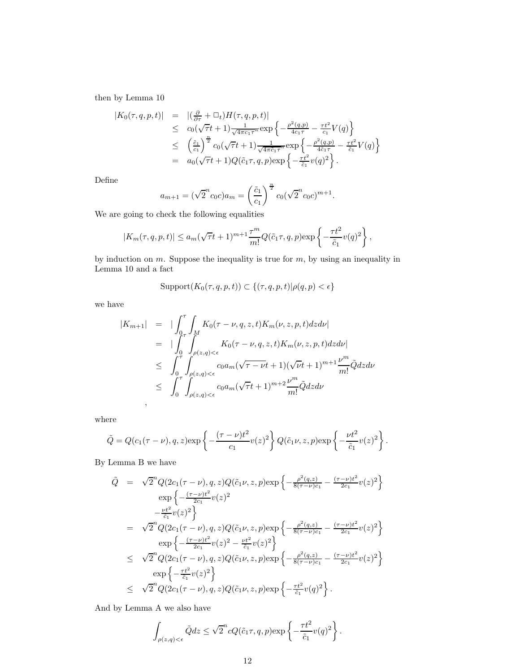then by Lemma 10

$$
|K_0(\tau, q, p, t)| = |(\frac{\partial}{\partial \tau} + \Box_t)H(\tau, q, p, t)|
$$
  
\n
$$
\leq c_0(\sqrt{\tau}t + 1)\frac{1}{\sqrt{4\pi c_1\tau}^n} \exp\left\{-\frac{\rho^2(q, p)}{4c_1\tau} - \frac{\tau t^2}{c_1}V(q)\right\}
$$
  
\n
$$
\leq (\frac{\tilde{c}_1}{c_1})^{\frac{n}{2}}c_0(\sqrt{\tau}t + 1)\frac{1}{\sqrt{4\pi\tilde{c}_1\tau}^n} \exp\left\{-\frac{\rho^2(q, p)}{4\tilde{c}_1\tau} - \frac{\tau t^2}{\tilde{c}_1}V(q)\right\}
$$
  
\n
$$
= a_0(\sqrt{\tau}t + 1)Q(\tilde{c}_1\tau, q, p) \exp\left\{-\frac{\tau t^2}{\tilde{c}_1}v(q)^2\right\}.
$$

Define

$$
a_{m+1} = (\sqrt{2}^n c_0 c) a_m = \left(\frac{\tilde{c}_1}{c_1}\right)^{\frac{n}{2}} c_0 (\sqrt{2}^n c_0 c)^{m+1}.
$$

We are going to check the following equalities

$$
|K_m(\tau, q, p, t)| \le a_m(\sqrt{\tau}t + 1)^{m+1}\frac{\tau^m}{m!}Q(\tilde{c}_1\tau, q, p) \exp\left\{-\frac{\tau t^2}{\tilde{c}_1}v(q)^2\right\},\,
$$

by induction on  $m$ . Suppose the inequality is true for  $m$ , by using an inequality in Lemma 10 and a fact

$$
Support(K_0(\tau, q, p, t)) \subset \{(\tau, q, p, t) | \rho(q, p) < \epsilon\}
$$

we have

$$
|K_{m+1}| = |\int_0^{\tau} \int_M K_0(\tau - \nu, q, z, t) K_m(\nu, z, p, t) dz d\nu|
$$
  
\n
$$
= |\int_0^{\tau} \int_{\rho(z,q) < \epsilon}^M K_0(\tau - \nu, q, z, t) K_m(\nu, z, p, t) dz d\nu|
$$
  
\n
$$
\leq \int_0^{\tau} \int_{\rho(z,q) < \epsilon} c_0 a_m (\sqrt{\tau - \nu} t + 1) (\sqrt{\nu} t + 1)^{m+1} \frac{\nu^m}{m!} \tilde{Q} dz d\nu
$$
  
\n
$$
\leq \int_0^{\tau} \int_{\rho(z,q) < \epsilon} c_0 a_m (\sqrt{\tau} t + 1)^{m+2} \frac{\nu^m}{m!} \tilde{Q} dz d\nu
$$

where

$$
\tilde{Q} = Q(c_1(\tau - \nu), q, z) \exp\left\{-\frac{(\tau - \nu)t^2}{c_1}v(z)^2\right\}Q(\tilde{c}_1\nu, z, p) \exp\left\{-\frac{\nu t^2}{\tilde{c}_1}v(z)^2\right\}.
$$

By Lemma B we have

$$
\tilde{Q} = \sqrt{2}^{n} Q(2c_{1}(\tau - \nu), q, z) Q(\tilde{c}_{1}\nu, z, p) \exp \left\{ -\frac{\rho^{2}(q, z)}{8(\tau - \nu)c_{1}} - \frac{(\tau - \nu)t^{2}}{2c_{1}} v(z)^{2} \right\}
$$
\n
$$
\exp \left\{ -\frac{(\tau - \nu)t^{2}}{2c_{1}} v(z)^{2} \right\}
$$
\n
$$
= \sqrt{2}^{n} Q(2c_{1}(\tau - \nu), q, z) Q(\tilde{c}_{1}\nu, z, p) \exp \left\{ -\frac{\rho^{2}(q, z)}{8(\tau - \nu)c_{1}} - \frac{(\tau - \nu)t^{2}}{2c_{1}} v(z)^{2} \right\}
$$
\n
$$
\exp \left\{ -\frac{(\tau - \nu)t^{2}}{2c_{1}} v(z)^{2} - \frac{\nu t^{2}}{\tilde{c}_{1}} v(z)^{2} \right\}
$$
\n
$$
\leq \sqrt{2}^{n} Q(2c_{1}(\tau - \nu), q, z) Q(\tilde{c}_{1}\nu, z, p) \exp \left\{ -\frac{\rho^{2}(q, z)}{8(\tau - \nu)c_{1}} - \frac{(\tau - \nu)t^{2}}{2c_{1}} v(z)^{2} \right\}
$$
\n
$$
\exp \left\{ -\frac{\tau t^{2}}{\tilde{c}_{1}} v(z)^{2} \right\}
$$
\n
$$
\leq \sqrt{2}^{n} Q(2c_{1}(\tau - \nu), q, z) Q(\tilde{c}_{1}\nu, z, p) \exp \left\{ -\frac{\tau t^{2}}{\tilde{c}_{1}} v(q)^{2} \right\}.
$$

And by Lemma A we also have

$$
\int_{\rho(z,q)<\epsilon} \tilde{Q}dz \leq \sqrt{2}^n c Q(\tilde{c}_1 \tau, q, p) \exp\left\{-\frac{\tau t^2}{\tilde{c}_1}v(q)^2\right\}.
$$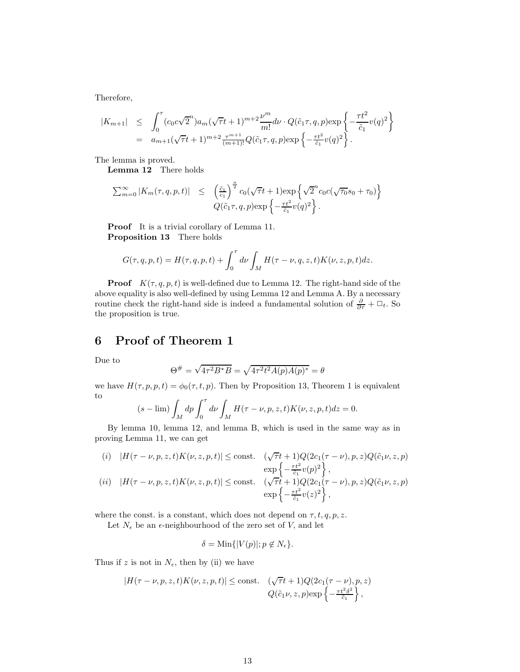Therefore,

$$
\begin{array}{rcl}\n|K_{m+1}| & \leq & \int_0^\tau (c_0 c \sqrt{2}^n) a_m (\sqrt{\tau} t + 1)^{m+2} \frac{\nu^m}{m!} d\nu \cdot Q(\tilde{c}_1 \tau, q, p) \exp\left\{-\frac{\tau t^2}{\tilde{c}_1} v(q)^2\right\} \\
& = & a_{m+1} (\sqrt{\tau} t + 1)^{m+2} \frac{\tau^{m+1}}{(m+1)!} Q(\tilde{c}_1 \tau, q, p) \exp\left\{-\frac{\tau t^2}{\tilde{c}_1} v(q)^2\right\}.\n\end{array}
$$

The lemma is proved.

Lemma 12 There holds

$$
\sum_{m=0}^{\infty} |K_m(\tau, q, p, t)| \leq \left(\frac{\tilde{c}_1}{c_1}\right)^{\frac{n}{2}} c_0(\sqrt{\tau}t + 1) \exp\left\{\sqrt{2}^n c_0 c(\sqrt{\tau_0} s_0 + \tau_0)\right\}
$$
  

$$
Q(\tilde{c}_1 \tau, q, p) \exp\left\{-\frac{\tau t^2}{\tilde{c}_1} v(q)^2\right\}.
$$

Proof It is a trivial corollary of Lemma 11. Proposition 13 There holds

$$
G(\tau, q, p, t) = H(\tau, q, p, t) + \int_0^{\tau} d\nu \int_M H(\tau - \nu, q, z, t) K(\nu, z, p, t) dz.
$$

**Proof**  $K(\tau, q, p, t)$  is well-defined due to Lemma 12. The right-hand side of the above equality is also well-defined by using Lemma 12 and Lemma A. By a necessary routine check the right-hand side is indeed a fundamental solution of  $\frac{\partial}{\partial \tau} + \Box_t$ . So the proposition is true.

## 6 Proof of Theorem 1

Due to

$$
\Theta^{\#} = \sqrt{4\tau^2 B^* B} = \sqrt{4\tau^2 t^2 A(p) A(p)^*} = \theta
$$

we have  $H(\tau, p, p, t) = \phi_0(\tau, t, p)$ . Then by Proposition 13, Theorem 1 is equivalent to

$$
(s - \lim) \int_M dp \int_0^{\tau} d\nu \int_M H(\tau - \nu, p, z, t) K(\nu, z, p, t) dz = 0.
$$

By lemma 10, lemma 12, and lemma B, which is used in the same way as in proving Lemma 11, we can get

(i) 
$$
|H(\tau - \nu, p, z, t)K(\nu, z, p, t)| \le \text{const.}
$$
  $(\sqrt{\tau}t + 1)Q(2c_1(\tau - \nu), p, z)Q(\tilde{c}_1\nu, z, p)$   
\n $\exp\left\{-\frac{\tau t^2}{\tilde{c}_1}v(p)^2\right\},$   
\n(ii)  $|H(\tau - \nu, p, z, t)K(\nu, z, p, t)| \le \text{const.}$   $(\sqrt{\tau}t + 1)Q(2c_1(\tau - \nu), p, z)Q(\tilde{c}_1\nu, z, p)$   
\n $\exp\left\{-\frac{\tau t^2}{\tilde{c}_1}v(z)^2\right\},$ 

where the const. is a constant, which does not depend on  $\tau, t, q, p, z$ .

Let  $N_{\epsilon}$  be an  $\epsilon$ -neighbourhood of the zero set of V, and let

$$
\delta = \text{Min}\{|V(p)|; p \notin N_{\epsilon}\}.
$$

Thus if z is not in  $N_{\epsilon}$ , then by (ii) we have

$$
|H(\tau - \nu, p, z, t)K(\nu, z, p, t)| \le \text{const.} \quad (\sqrt{\tau}t + 1)Q(2c_1(\tau - \nu), p, z)
$$
  

$$
Q(\tilde{c}_1 \nu, z, p) \exp\left\{-\frac{\tau t^2 \delta^2}{\tilde{c}_1}\right\},
$$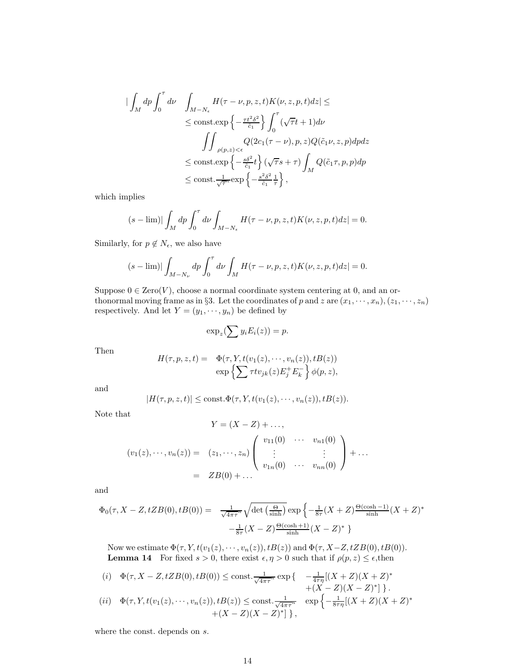$$
\begin{split} \mid \int_{M} dp \int_{0}^{\tau} d\nu \quad & \int_{M-N_{\epsilon}} H(\tau-\nu,p,z,t) K(\nu,z,p,t) dz \leq \\ & \leq \text{const.} \exp \left\{ - \frac{\tau t^2 \delta^2}{\tilde{c}_1} \right\} \int_{0}^{\tau} (\sqrt{\tau} t + 1) d\nu \\ & \quad \int \int_{\rho(p,z) < \epsilon} Q(2c_1(\tau-\nu),p,z) Q(\tilde{c}_1 \nu,z,p) dp dz \\ & \leq \text{const.} \exp \left\{ - \frac{s \delta^2}{\tilde{c}_1} t \right\} (\sqrt{\tau} s + \tau) \int_{M} Q(\tilde{c}_1 \tau,p,p) dp \\ & \leq \text{const.} \frac{1}{\sqrt{\tau}^n} \exp \left\{ - \frac{s^2 \delta^2}{\tilde{c}_1} \frac{1}{\tau} \right\}, \end{split}
$$

which implies

$$
(s - \lim)|\int_M dp \int_0^{\tau} d\nu \int_{M-N_{\epsilon}} H(\tau - \nu, p, z, t) K(\nu, z, p, t) dz| = 0.
$$

Similarly, for  $p \notin N_{\epsilon}$ , we also have

$$
(s - \lim)|\int_{M - N_{\nu}} dp \int_0^{\tau} d\nu \int_M H(\tau - \nu, p, z, t) K(\nu, z, p, t) dz| = 0.
$$

Suppose  $0 \in \text{Zero}(V)$ , choose a normal coordinate system centering at 0, and an orthonormal moving frame as in §3. Let the coordinates of p and z are  $(x_1, \dots, x_n), (z_1, \dots, z_n)$ respectively. And let  $Y = (y_1, \dots, y_n)$  be defined by

$$
\exp_z(\sum y_i E_i(z)) = p.
$$

Then

$$
H(\tau, p, z, t) = \Phi(\tau, Y, t(v_1(z), \cdots, v_n(z)), tB(z))
$$
  

$$
\exp\left\{\sum \tau t v_{jk}(z) E_j^+ E_k^-\right\} \phi(p, z),
$$

and

$$
|H(\tau, p, z, t)| \le \text{const.}\Phi(\tau, Y, t(v_1(z), \cdots, v_n(z)), tB(z)).
$$

Note that

$$
Y = (X - Z) + \dots,
$$
  
\n
$$
(v_1(z), \dots, v_n(z)) = (z_1, \dots, z_n) \begin{pmatrix} v_{11}(0) & \cdots & v_{n1}(0) \\ \vdots & & \vdots \\ v_{1n}(0) & \cdots & v_{nn}(0) \end{pmatrix} + \dots
$$
  
\n
$$
= ZB(0) + \dots
$$

and

$$
\Phi_0(\tau, X - Z, tZB(0), tB(0)) = \frac{1}{\sqrt{4\pi\tau}^n} \sqrt{\det\left(\frac{\Theta}{\sinh}\right)} \exp\left\{-\frac{1}{8\tau}(X + Z)\frac{\Theta(\cosh - 1)}{\sinh}(X + Z)^* -\frac{1}{8\tau}(X - Z)\frac{\Theta(\cosh + 1)}{\sinh}(X - Z)^*\right\}
$$

Now we estimate  $\Phi(\tau, Y, t(v_1(z), \dots, v_n(z)), tB(z))$  and  $\Phi(\tau, X-Z, tZB(0), tB(0)).$ **Lemma 14** For fixed  $s > 0$ , there exist  $\epsilon, \eta > 0$  such that if  $\rho(p, z) \leq \epsilon$ , then

(i) 
$$
\Phi(\tau, X - Z, tZB(0), tB(0)) \le \text{const.} \frac{1}{\sqrt{4\pi\tau^n}} \exp\left\{ \begin{array}{cc} -\frac{1}{4\tau\eta}[(X+Z)(X+Z)^* \\ + (X-Z)(X-Z)^*] \end{array} \right\}.
$$
  
\n(ii)  $\Phi(\tau, Y, t(v_1(z), \dots, v_n(z)), tB(z)) \le \text{const.} \frac{1}{\sqrt{4\pi\tau^n}} \exp\left\{-\frac{1}{8\tau\eta}[(X+Z)(X+Z)^* \\ + (X-Z)(X-Z)^*\right\},$ 

where the const. depends on s.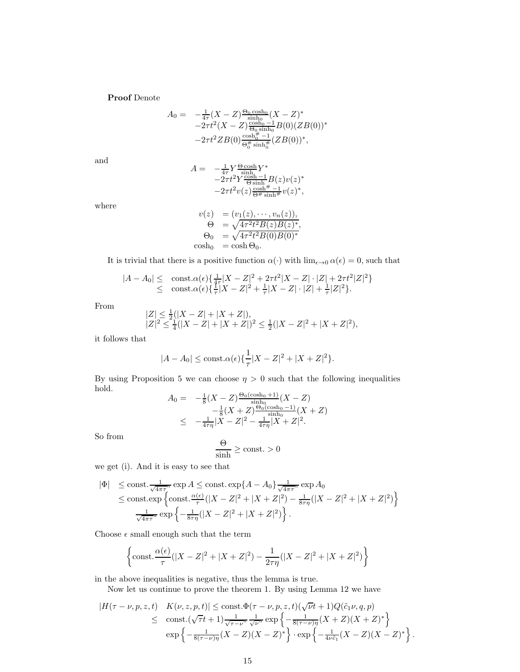Proof Denote

$$
A_0 = -\frac{1}{4\tau}(X - Z)\frac{\Theta_0 \cosh_0}{\sinh_0}(X - Z)^* -2\tau t^2(X - Z)\frac{\cosh_0 - 1}{\Theta_0 \sinh_0}B(0)(ZB(0))^* -2\tau t^2 ZB(0)\frac{\cosh_0^{\theta} - 1}{\Theta_0^{\theta} \sinh_0^{\theta}}(ZB(0))^*,
$$

and

$$
A = -\frac{1}{4\tau} Y \frac{\Theta \cosh}{\sinh} Y^* -2\tau t^2 Y \frac{\cosh -1}{\Theta \sinh} B(z) v(z)^* -2\tau t^2 v(z) \frac{\cosh \theta}{\Theta} \frac{1}{\sinh \theta} v(z)^*,
$$

where

$$
v(z) = (v_1(z), \dots, v_n(z)),
$$
  
\n
$$
\Theta = \sqrt{4\tau^2 t^2 B(z) B(z)^*},
$$
  
\n
$$
\Theta_0 = \sqrt{4\tau^2 t^2 B(0) B(0)^*},
$$
  
\n
$$
\cosh_0 = \cosh \Theta_0.
$$

It is trivial that there is a positive function  $\alpha(\cdot)$  with  $\lim_{\epsilon \to 0} \alpha(\epsilon) = 0$ , such that

$$
|A - A_0| \leq \text{ const. } \alpha(\epsilon) \{ \frac{1}{4\tau} |X - Z|^2 + 2\tau t^2 |X - Z| \cdot |Z| + 2\tau t^2 |Z|^2 \} \leq \text{ const. } \alpha(\epsilon) \{ \frac{1}{\tau} |X - Z|^2 + \frac{1}{\tau} |X - Z| \cdot |Z| + \frac{1}{\tau} |Z|^2 \}.
$$

From

$$
\begin{array}{l} |Z| \leq \frac{1}{2}(|X - Z| + |X + Z|), \\ |Z|^2 \leq \frac{1}{4}(|X - Z| + |X + Z|)^2 \leq \frac{1}{2}(|X - Z|^2 + |X + Z|^2), \end{array}
$$

it follows that

$$
|A - A_0| \le \text{const.}\alpha(\epsilon)\left\{\frac{1}{\tau}|X - Z|^2 + |X + Z|^2\right\}.
$$

By using Proposition 5 we can choose  $\eta > 0$  such that the following inequalities hold. Θ0(cosh<sup>0</sup> +1)

$$
A_0 = -\frac{1}{8}(X - Z)\frac{\Theta_0(\cosh_0 + 1)}{\sinh_0}(X - Z)
$$
  

$$
-\frac{1}{8}(X + Z)\frac{\Theta_0(\cosh_0 - 1)}{\sinh_0}(X + Z)
$$
  

$$
\leq -\frac{1}{4\tau\eta}|X - Z|^2 - \frac{1}{4\tau\eta}|X + Z|^2.
$$

So from

$$
\frac{\Theta}{\sinh} \ge \text{const.} > 0
$$

we get (i). And it is easy to see that

$$
\begin{array}{ll}\n|\Phi| & \leq \text{const.} \frac{1}{\sqrt{4\pi\tau^n}} \exp A \leq \text{const.} \exp\{A - A_0\} \frac{1}{\sqrt{4\pi\tau^n}} \exp A_0 \\
& \leq \text{const.} \exp\left\{ \text{const.} \frac{\alpha(\epsilon)}{\tau} (|X - Z|^2 + |X + Z|^2) - \frac{1}{8\tau\eta} (|X - Z|^2 + |X + Z|^2) \right\} \\
& \frac{1}{\sqrt{4\pi\tau^n}} \exp\left\{ -\frac{1}{8\tau\eta} (|X - Z|^2 + |X + Z|^2) \right\}.\n\end{array}
$$

Choose  $\epsilon$  small enough such that the term

$$
\left\{\text{const.} \frac{\alpha(\epsilon)}{\tau} (|X - Z|^2 + |X + Z|^2) - \frac{1}{2\tau\eta} (|X - Z|^2 + |X + Z|^2) \right\}
$$

in the above inequalities is negative, thus the lemma is true.

Now let us continue to prove the theorem 1. By using Lemma 12 we have

$$
|H(\tau - \nu, p, z, t) - K(\nu, z, p, t)| \le \text{const.} \Phi(\tau - \nu, p, z, t)(\sqrt{\nu}t + 1)Q(\tilde{c}_1 \nu, q, p) \le \text{const.}(\sqrt{\tau}t + 1)\frac{1}{\sqrt{\tau - \nu}^n} \frac{1}{\sqrt{\nu}^n} \exp\left\{-\frac{1}{8(\tau - \nu)\eta}(X + Z)(X + Z)^*\right\} \exp\left\{-\frac{1}{8(\tau - \nu)\eta}(X - Z)(X - Z)^*\right\} \cdot \exp\left\{-\frac{1}{4\nu\tilde{c}_1}(X - Z)(X - Z)^*\right\}.
$$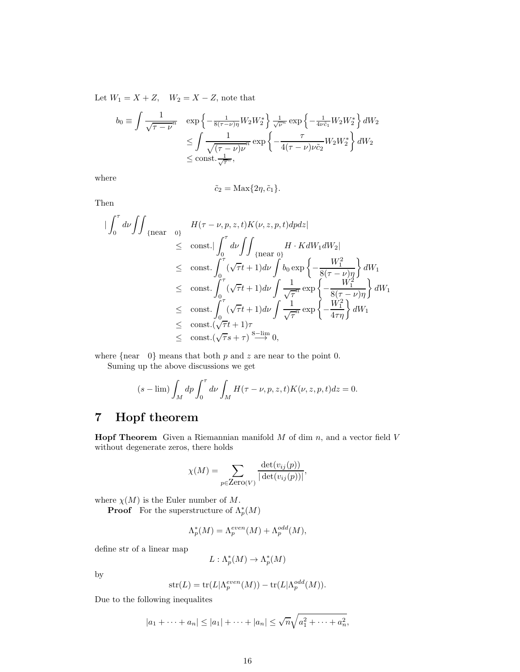Let  $W_1 = X + Z$ ,  $W_2 = X - Z$ , note that

$$
b_0 \equiv \int \frac{1}{\sqrt{\tau - \nu}^n} \exp \left\{ -\frac{1}{8(\tau - \nu)\eta} W_2 W_2^* \right\} \frac{1}{\sqrt{\nu}^n} \exp \left\{ -\frac{1}{4\nu\tilde{c}_1} W_2 W_2^* \right\} dW_2
$$
  

$$
\leq \int \frac{1}{\sqrt{(\tau - \nu)\nu}^n} \exp \left\{ -\frac{\tau}{4(\tau - \nu)\nu\tilde{c}_2} W_2 W_2^* \right\} dW_2
$$
  

$$
\leq \text{const.} \frac{1}{\sqrt{\tau}^n},
$$

where

$$
\tilde{c}_2 = \text{Max}\{2\eta, \tilde{c}_1\}.
$$

Then

$$
\begin{split}\n&\left|\int_{0}^{\tau} d\nu \int \int_{\{\text{near } 0\}} H(\tau - \nu, p, z, t) K(\nu, z, p, t) dp dz\right| \\
&\leq\quad \text{const.} \int_{0}^{\tau} d\nu \int \int_{\{\text{near } 0\}} H \cdot K dW_1 dW_2| \\
&\leq\quad \text{const.} \int_{0}^{\tau} (\sqrt{\tau}t + 1) d\nu \int b_0 \exp\left\{-\frac{W_1^2}{8(\tau - \nu)\eta}\right\} dW_1 \\
&\leq\quad \text{const.} \int_{0}^{\tau} (\sqrt{\tau}t + 1) d\nu \int \frac{1}{\sqrt{\tau}^n} \exp\left\{-\frac{W_1^2}{8(\tau - \nu)\eta}\right\} dW_1 \\
&\leq\quad \text{const.} \int_{0}^{\tau} (\sqrt{\tau}t + 1) d\nu \int \frac{1}{\sqrt{\tau}^n} \exp\left\{-\frac{W_1^2}{4\tau\eta}\right\} dW_1 \\
&\leq\quad \text{const.} (\sqrt{\tau}t + 1)\tau \\
&\leq\quad \text{const.} (\sqrt{\tau}s + \tau) \stackrel{\text{S-lim}}{\longrightarrow} 0,\n\end{split}
$$

where  ${near \ 0}$  means that both p and z are near to the point 0.

Suming up the above discussions we get

$$
(s - \lim) \int_M dp \int_0^{\tau} d\nu \int_M H(\tau - \nu, p, z, t) K(\nu, z, p, t) dz = 0.
$$

# 7 Hopf theorem

**Hopf Theorem** Given a Riemannian manifold  $M$  of dim  $n$ , and a vector field  $V$ without degenerate zeros, there holds

$$
\chi(M) = \sum_{p \in \text{Zero}(V)} \frac{\det(v_{ij}(p))}{|\det(v_{ij}(p))|},
$$

where  $\chi(M)$  is the Euler number of M.

**Proof** For the superstructure of  $\Lambda_p^*(M)$ 

$$
\Lambda_p^*(M) = \Lambda_p^{even}(M) + \Lambda_p^{odd}(M),
$$

define str of a linear map

$$
L: \Lambda_p^*(M) \to \Lambda_p^*(M)
$$

by

$$
str(L) = tr(L|\Lambda_p^{even}(M)) - tr(L|\Lambda_p^{odd}(M)).
$$

Due to the following inequalites

$$
|a_1 + \dots + a_n| \le |a_1| + \dots + |a_n| \le \sqrt{n} \sqrt{a_1^2 + \dots + a_n^2},
$$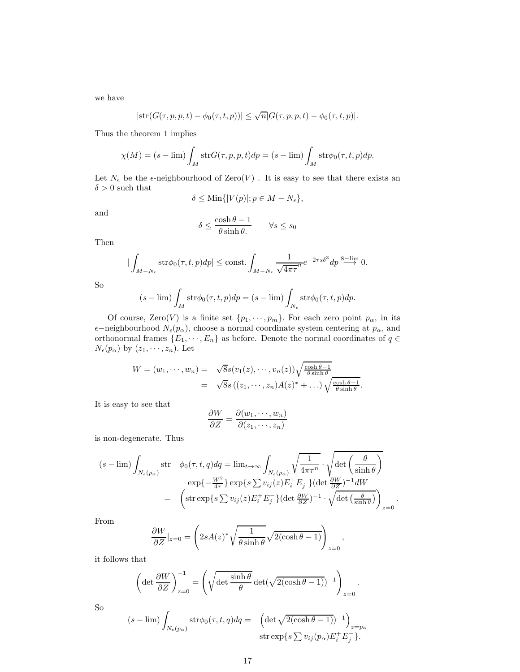we have

$$
|\text{str}(G(\tau,p,p,t)-\phi_0(\tau,t,p))| \leq \sqrt{n}|G(\tau,p,p,t)-\phi_0(\tau,t,p)|.
$$

Thus the theorem 1 implies

$$
\chi(M) = (s - \lim) \int_M \text{str}G(\tau, p, p, t) dp = (s - \lim) \int_M \text{str}\phi_0(\tau, t, p) dp.
$$

Let  $N_{\epsilon}$  be the  $\epsilon$ -neighbourhood of Zero(V). It is easy to see that there exists an  $\delta > 0$  such that

$$
\delta \leq \text{Min}\{|V(p)|; p \in M - N_{\epsilon}\},\
$$

and

$$
\delta \le \frac{\cosh \theta - 1}{\theta \sinh \theta} \qquad \forall s \le s_0
$$

Then

$$
\left|\int_{M-N_{\epsilon}}\operatorname{str}\phi_0(\tau,t,p)dp\right| \le \text{const.} \int_{M-N_{\epsilon}} \frac{1}{\sqrt{4\pi\tau}} e^{-2\tau s \delta^3} dp \stackrel{\text{S-lim}}{\longrightarrow} 0.
$$

So

$$
(s - \lim) \int_M \text{str}\phi_0(\tau, t, p) dp = (s - \lim) \int_{N_{\epsilon}} \text{str}\phi_0(\tau, t, p) dp.
$$

Of course, Zero(V) is a finite set  $\{p_1, \dots, p_m\}$ . For each zero point  $p_\alpha$ , in its  $\epsilon$ −neighbourhood  $N_{\epsilon}(p_{\alpha})$ , choose a normal coordinate system centering at  $p_{\alpha}$ , and orthonormal frames  $\{E_1, \dots, E_n\}$  as before. Denote the normal coordinates of  $q \in$  $N_{\epsilon}(p_{\alpha})$  by  $(z_1, \dots, z_n)$ . Let

$$
W = (w_1, \dots, w_n) = \sqrt{8s(v_1(z), \dots, v_n(z))\sqrt{\frac{\cosh \theta - 1}{\theta \sinh \theta}}}
$$
  
=  $\sqrt{8s((z_1, \dots, z_n)A(z)^* + \dots)\sqrt{\frac{\cosh \theta - 1}{\theta \sinh \theta}}}.$ 

It is easy to see that

$$
\frac{\partial W}{\partial Z} = \frac{\partial (w_1, \dots, w_n)}{\partial (z_1, \dots, z_n)}
$$

is non-degenerate. Thus

$$
(s - \lim) \int_{N_{\epsilon}(p_{\alpha})} \operatorname{str} \phi_{0}(\tau, t, q) dq = \lim_{t \to \infty} \int_{N_{\epsilon}(p_{\alpha})} \sqrt{\frac{1}{4\pi\tau^{n}}} \cdot \sqrt{\det\left(\frac{\theta}{\sinh\theta}\right)}
$$

$$
\exp\left\{-\frac{W^{2}}{4\tau}\right\} \exp\left\{s \sum v_{ij}(z) E_{i}^{+} E_{j}^{-}\right\} (\det\frac{\partial W}{\partial Z})^{-1} dW
$$

$$
= \left(\operatorname{str} \exp\left\{s \sum v_{ij}(z) E_{i}^{+} E_{j}^{-}\right\} (\det\frac{\partial W}{\partial Z})^{-1} \cdot \sqrt{\det\left(\frac{\theta}{\sinh\theta}\right)}\right)_{z=0}
$$

.

From

$$
\frac{\partial W}{\partial Z}\Big|_{z=0} = \left(2sA(z)^{*}\sqrt{\frac{1}{\theta \sinh \theta}}\sqrt{2(\cosh \theta - 1)}\right)_{z=0},
$$

it follows that

$$
\left(\det \frac{\partial W}{\partial Z}\right)_{z=0}^{-1} = \left(\sqrt{\det \frac{\sinh \theta}{\theta}} \det(\sqrt{2(\cosh \theta - 1)})^{-1}\right)_{z=0}.
$$
\n
$$
(s = \lim_{z \to 0} \int e^{\frac{\pi}{2} \cosh(z - z)} dz = \left(\det(z) \frac{\sqrt{2(\cosh \theta - 1)}}{2} - 1\right).
$$

So

$$
(s - \lim) \int_{N_{\epsilon}(p_{\alpha})} \operatorname{str}\phi_0(\tau, t, q) dq = \left( \det \sqrt{2(\cosh \theta - 1)})^{-1} \right)_{z = p_{\alpha}}
$$
  
 
$$
\operatorname{str} \exp\left\{ s \sum v_{ij}(p_{\alpha}) E_i^+ E_j^- \right\}.
$$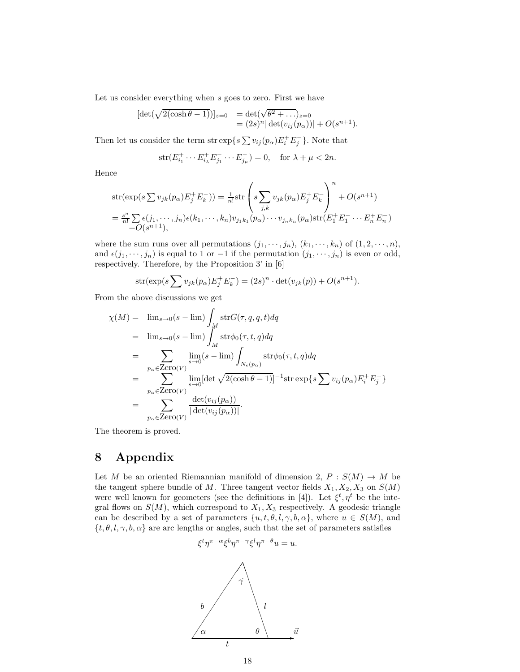Let us consider everything when s goes to zero. First we have

$$
[\det(\sqrt{2(\cosh \theta - 1)})]_{z=0} = \det(\sqrt{\theta^2 + \dots})_{z=0}
$$
  
=  $(2s)^n |\det(v_{ij}(p_\alpha))| + O(s^{n+1}).$ 

Then let us consider the term str  $\exp\{s \sum v_{ij}(p_\alpha) E_i^+ E_j^-\}$ . Note that

$$
\text{str}(E_{i_1}^+ \cdots E_{i_\lambda}^+ E_{j_1}^- \cdots E_{j_\mu}^-) = 0, \quad \text{for } \lambda + \mu < 2n.
$$

Hence

$$
str(exp(s \sum v_{jk}(p_{\alpha})E_j^+E_k^-)) = \frac{1}{n!}str\left(s\sum_{j,k}v_{jk}(p_{\alpha})E_j^+E_k^-\right)^n + O(s^{n+1})
$$
  

$$
= \frac{s^n}{n!}\sum_{j,k} \epsilon(j_1,\cdots,j_n)\epsilon(k_1,\cdots,k_n)v_{j_1k_1}(p_{\alpha})\cdots v_{j_nk_n}(p_{\alpha})str(E_1^+E_1^-\cdots E_n^+E_n^-) + O(s^{n+1}),
$$

where the sum runs over all permutations  $(j_1, \dots, j_n)$ ,  $(k_1, \dots, k_n)$  of  $(1, 2, \dots, n)$ , and  $\epsilon(j_1, \dots, j_n)$  is equal to 1 or -1 if the permutation  $(j_1, \dots, j_n)$  is even or odd, respectively. Therefore, by the Proposition 3' in [6]

str(
$$
\exp(s \sum v_{jk}(p_{\alpha})E_j^+E_k^-
$$
) =  $(2s)^n \cdot \det(v_{jk}(p)) + O(s^{n+1}).$ 

From the above discussions we get

$$
\chi(M) = \lim_{s \to 0} (s - \lim) \int_{M} \text{str}G(\tau, q, q, t) dq
$$
  
\n
$$
= \lim_{s \to 0} (s - \lim) \int_{M} \text{str}\phi_{0}(\tau, t, q) dq
$$
  
\n
$$
= \sum_{p_{\alpha} \in \text{Zero}(V)} \lim_{s \to 0} (s - \lim) \int_{N_{\epsilon}(p_{\alpha})} \text{str}\phi_{0}(\tau, t, q) dq
$$
  
\n
$$
= \sum_{p_{\alpha} \in \text{Zero}(V)} \lim_{s \to 0} [\det \sqrt{2(\cosh \theta - 1)}]^{-1} \text{str} \exp\left\{s \sum v_{ij}(p_{\alpha}) E_{i}^{+} E_{j}^{-}\right\}
$$
  
\n
$$
= \sum_{p_{\alpha} \in \text{Zero}(V)} \frac{\det(v_{ij}(p_{\alpha}))}{|\det(v_{ij}(p_{\alpha}))|}.
$$

The theorem is proved.

# 8 Appendix

Let M be an oriented Riemannian manifold of dimension 2,  $P : S(M) \to M$  be the tangent sphere bundle of M. Three tangent vector fields  $X_1, X_2, X_3$  on  $S(M)$ were well known for geometers (see the definitions in [4]). Let  $\xi^t, \eta^t$  be the integral flows on  $S(M)$ , which correspond to  $X_1, X_3$  respectively. A geodesic triangle can be described by a set of parameters  $\{u, t, \theta, l, \gamma, b, \alpha\}$ , where  $u \in S(M)$ , and  $\{t, \theta, l, \gamma, b, \alpha\}$  are arc lengths or angles, such that the set of parameters satisfies

$$
\xi^t \eta^{\pi - \alpha} \xi^b \eta^{\pi - \gamma} \xi^l \eta^{\pi - \theta} u = u.
$$

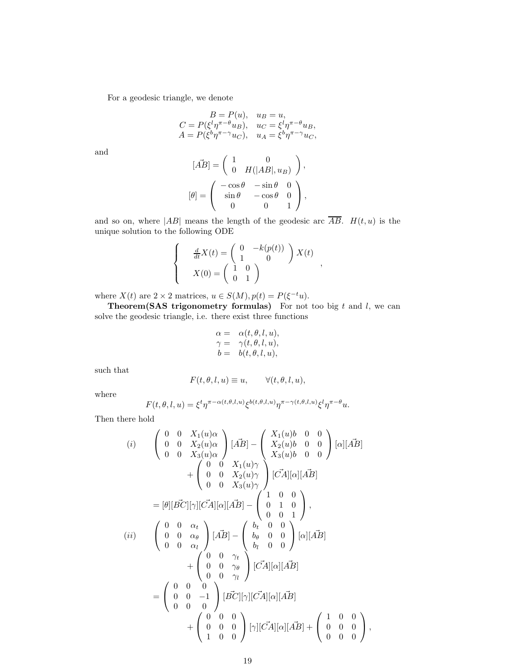For a geodesic triangle, we denote

$$
B = P(u), \quad u_B = u,
$$
  
\n
$$
C = P(\xi^l \eta^{\pi - \theta} u_B), \quad u_C = \xi^l \eta^{\pi - \theta} u_B,
$$
  
\n
$$
A = P(\xi^b \eta^{\pi - \gamma} u_C), \quad u_A = \xi^b \eta^{\pi - \gamma} u_C,
$$

and

$$
[\vec{AB}] = \begin{pmatrix} 1 & 0 \\ 0 & H(|AB|, u_B) \end{pmatrix},
$$

$$
[\theta] = \begin{pmatrix} -\cos\theta & -\sin\theta & 0 \\ \sin\theta & -\cos\theta & 0 \\ 0 & 0 & 1 \end{pmatrix},
$$

and so on, where  $|AB|$  means the length of the geodesic arc  $\overline{AB}$ .  $H(t, u)$  is the unique solution to the following ODE

$$
\begin{cases}\n\frac{d}{dt}X(t) = \begin{pmatrix} 0 & -k(p(t)) \\ 1 & 0 \end{pmatrix} X(t) \\
X(0) = \begin{pmatrix} 1 & 0 \\ 0 & 1 \end{pmatrix}\n\end{cases},
$$

where  $X(t)$  are  $2 \times 2$  matrices,  $u \in S(M)$ ,  $p(t) = P(\xi^{-t}u)$ .

**Theorem(SAS trigonometry formulas)** For not too big  $t$  and  $l$ , we can solve the geodesic triangle, i.e. there exist three functions

$$
\begin{array}{rcl} \alpha=&\alpha(t,\theta,l,u),\\ \gamma=&\gamma(t,\theta,l,u),\\ b=&b(t,\theta,l,u), \end{array}
$$

such that

$$
F(t, \theta, l, u) \equiv u, \qquad \forall (t, \theta, l, u),
$$

where

$$
F(t, \theta, l, u) = \xi^t \eta^{\pi - \alpha(t, \theta, l, u)} \xi^{b(t, \theta, l, u)} \eta^{\pi - \gamma(t, \theta, l, u)} \xi^l \eta^{\pi - \theta} u.
$$

Then there hold

$$
(i) \quad \begin{pmatrix} 0 & 0 & X_1(u)\alpha \\ 0 & 0 & X_2(u)\alpha \\ 0 & 0 & X_3(u)\alpha \end{pmatrix} [\vec{AB}] - \begin{pmatrix} X_1(u)b & 0 & 0 \\ X_2(u)b & 0 & 0 \\ X_3(u)b & 0 & 0 \end{pmatrix} [\alpha][\vec{AB}] \n+ \begin{pmatrix} 0 & 0 & X_1(u)\gamma \\ 0 & 0 & X_2(u)\gamma \\ 0 & 0 & X_3(u)\gamma \end{pmatrix} [\vec{CA}][\alpha][\vec{AB}] \n= [\theta][\vec{BC}][\gamma][\vec{CA}][\alpha][\vec{AB}] - \begin{pmatrix} 1 & 0 & 0 \\ 0 & 1 & 0 \\ 0 & 0 & 1 \end{pmatrix}, \n(ii) \quad \begin{pmatrix} 0 & 0 & \alpha_t \\ 0 & 0 & \alpha_\theta \\ 0 & 0 & \alpha_\theta \end{pmatrix} [\vec{AB}] - \begin{pmatrix} b_t & 0 & 0 \\ b_\theta & 0 & 0 \\ b_t & 0 & 0 \end{pmatrix} [\alpha][\vec{AB}] \n+ \begin{pmatrix} 0 & 0 & \gamma_t \\ 0 & 0 & \gamma_\theta \\ 0 & 0 & \gamma_t \end{pmatrix} [\vec{CA}][\alpha][\vec{AB}] \n= \begin{pmatrix} 0 & 0 & 0 \\ 0 & 0 & -1 \\ 0 & 0 & 0 \end{pmatrix} [\vec{BC}][\gamma][\vec{CA}][\alpha][\vec{AB}] \n+ \begin{pmatrix} 1 & 0 & 0 \\ 0 & 0 & 0 \\ 1 & 0 & 0 \end{pmatrix} ,
$$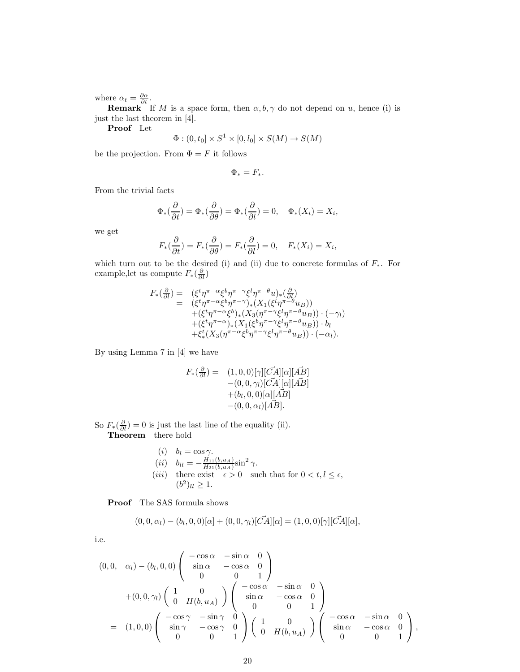where  $\alpha_t = \frac{\partial \alpha}{\partial t}$ .

**Remark** If M is a space form, then  $\alpha, b, \gamma$  do not depend on u, hence (i) is just the last theorem in [4].

Proof Let

$$
\Phi : (0, t_0] \times S^1 \times [0, l_0] \times S(M) \to S(M)
$$

be the projection. From  $\Phi = F$  it follows

$$
\Phi_* = F_*.
$$

From the trivial facts

$$
\Phi_*(\frac{\partial}{\partial t}) = \Phi_*(\frac{\partial}{\partial \theta}) = \Phi_*(\frac{\partial}{\partial l}) = 0, \quad \Phi_*(X_i) = X_i,
$$

we get

$$
F_*(\frac{\partial}{\partial t}) = F_*(\frac{\partial}{\partial \theta}) = F_*(\frac{\partial}{\partial l}) = 0, \quad F_*(X_i) = X_i,
$$

which turn out to be the desired (i) and (ii) due to concrete formulas of  $F_*$ . For example, let us compute  $F_*(\frac{\partial}{\partial l})$ 

$$
F_*(\frac{\partial}{\partial t}) = ( \xi^t \eta^{\pi - \alpha} \xi^b \eta^{\pi - \gamma} \xi^l \eta^{\pi - \theta} u)_*(\frac{\partial}{\partial t})
$$
  
\n
$$
= ( \xi^t \eta^{\pi - \alpha} \xi^b \eta^{\pi - \gamma} )*(X_1(\xi^l \eta^{\pi - \theta} u_B))
$$
  
\n
$$
+ (\xi^t \eta^{\pi - \alpha} \xi^b)_*(X_3(\eta^{\pi - \gamma} \xi^l \eta^{\pi - \theta} u_B)) \cdot (-\gamma_l)
$$
  
\n
$$
+ (\xi^t \eta^{\pi - \alpha})_*(X_1(\xi^b \eta^{\pi - \gamma} \xi^l \eta^{\pi - \theta} u_B)) \cdot b_l
$$
  
\n
$$
+ \xi^t_*(X_3(\eta^{\pi - \alpha} \xi^b \eta^{\pi - \gamma} \xi^l \eta^{\pi - \theta} u_B)) \cdot (-\alpha_l).
$$

By using Lemma 7 in [4] we have

$$
F_*(\frac{\partial}{\partial l}) = (1,0,0)[\gamma][\vec{C}A][\alpha][\vec{AB}] -(0,0,\gamma_l)[\vec{C}A][\alpha][\vec{AB}] +(b_l,0,0)[\alpha][\vec{AB}] -(0,0,\alpha_l)[\vec{AB}].
$$

So  $F_*(\frac{\partial}{\partial l}) = 0$  is just the last line of the equality (ii). Theorem there hold

\n- (i) 
$$
b_l = \cos \gamma
$$
.
\n- (ii)  $b_{ll} = -\frac{H_{11}(b, u_A)}{H_{21}(b, u_A)} \sin^2 \gamma$ .
\n- (iii) there exist  $\epsilon > 0$  such that for  $0 < t, l \leq \epsilon$ ,  $(b^2)_{ll} \geq 1$ .
\n

Proof The SAS formula shows

$$
(0,0,\alpha_l) - (b_l,0,0)[\alpha] + (0,0,\gamma_l)[\vec{CA}][\alpha] = (1,0,0)[\gamma][\vec{CA}][\alpha],
$$

i.e.

$$
(0,0, \alpha_l) - (b_l, 0, 0) \begin{pmatrix} -\cos\alpha & -\sin\alpha & 0 \\ \sin\alpha & -\cos\alpha & 0 \\ 0 & 0 & 1 \end{pmatrix}
$$
  
+ 
$$
(0,0,\gamma_l) \begin{pmatrix} 1 & 0 \\ 0 & H(b,u_A) \end{pmatrix} \begin{pmatrix} -\cos\alpha & -\sin\alpha & 0 \\ \sin\alpha & -\cos\alpha & 0 \\ 0 & 0 & 1 \end{pmatrix}
$$
  
= 
$$
(1,0,0) \begin{pmatrix} -\cos\gamma & -\sin\gamma & 0 \\ \sin\gamma & -\cos\gamma & 0 \\ 0 & 0 & 1 \end{pmatrix} \begin{pmatrix} 1 & 0 \\ 0 & H(b,u_A) \end{pmatrix} \begin{pmatrix} -\cos\alpha & -\sin\alpha & 0 \\ \sin\alpha & -\cos\alpha & 0 \\ 0 & 0 & 1 \end{pmatrix},
$$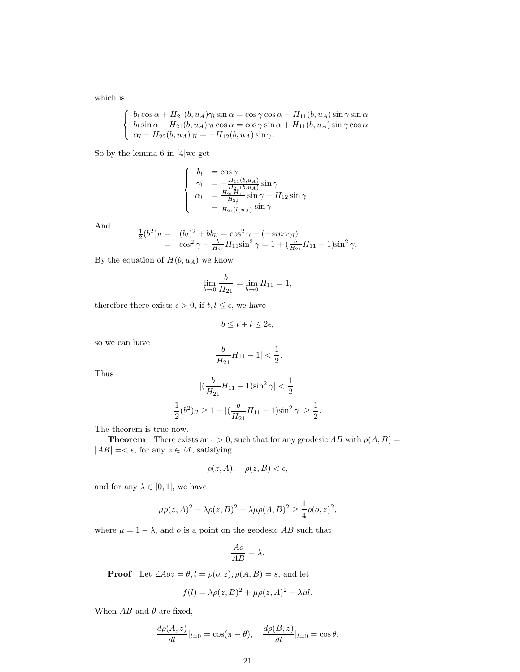which is

$$
\begin{cases}\nb_l \cos \alpha + H_{21}(b, u_A) \gamma_l \sin \alpha = \cos \gamma \cos \alpha - H_{11}(b, u_A) \sin \gamma \sin \alpha \\
b_l \sin \alpha - H_{21}(b, u_A) \gamma_l \cos \alpha = \cos \gamma \sin \alpha + H_{11}(b, u_A) \sin \gamma \cos \alpha \\
\alpha_l + H_{22}(b, u_A) \gamma_l = -H_{12}(b, u_A) \sin \gamma.\n\end{cases}
$$

So by the lemma 6 in [4]we get

$$
\begin{cases}\n b_l &= \cos \gamma \\
 \gamma_l &= -\frac{H_{11}(b, u_A)}{H_{21}(b, u_A)} \sin \gamma \\
 \alpha_l &= \frac{H_{22}H_{11}}{H_{21}} \sin \gamma - H_{12} \sin \gamma \\
 &= \frac{H_{21}(b, u_A)}{H_{21}(b, u_A)} \sin \gamma\n\end{cases}
$$

And

$$
\frac{1}{2}(b^2)_{ll} = (b_l)^2 + bb_{ll} = \cos^2 \gamma + (-\sin \gamma \gamma_l) \n= \cos^2 \gamma + \frac{b}{H_{21}} H_{11} \sin^2 \gamma = 1 + (\frac{b}{H_{21}} H_{11} - 1) \sin^2 \gamma.
$$

By the equation of  $H(b, u_A)$  we know

$$
\lim_{b \to 0} \frac{b}{H_{21}} = \lim_{b \to 0} H_{11} = 1,
$$

therefore there exists  $\epsilon > 0$ , if  $t, l \leq \epsilon$ , we have

1 2

$$
b \le t + l \le 2\epsilon,
$$

so we can have

$$
|\frac{b}{H_{21}}H_{11}-1|<\frac{1}{2}.
$$

Thus

$$
\left| \left( \frac{b}{H_{21}} H_{11} - 1 \right) \sin^2 \gamma \right| < \frac{1}{2},
$$
\n
$$
(b^2)_{ll} \ge 1 - \left| \left( \frac{b}{H_{21}} H_{11} - 1 \right) \sin^2 \gamma \right| \ge \frac{1}{2}.
$$

The theorem is true now.

**Theorem** There exists an  $\epsilon > 0$ , such that for any geodesic AB with  $\rho(A, B)$  =  $|AB| = < \epsilon$ , for any  $z \in M$ , satisfying

$$
\rho(z, A), \quad \rho(z, B) < \epsilon,
$$

and for any  $\lambda \in [0,1]$ , we have

$$
\mu \rho(z, A)^2 + \lambda \rho(z, B)^2 - \lambda \mu \rho(A, B)^2 \ge \frac{1}{4} \rho(o, z)^2,
$$

where  $\mu = 1 - \lambda$ , and o is a point on the geodesic AB such that

$$
\frac{Ao}{AB} = \lambda.
$$

**Proof** Let  $\angle Aoz = \theta, l = \rho(o, z), \rho(A, B) = s$ , and let

$$
f(l) = \lambda \rho(z, B)^2 + \mu \rho(z, A)^2 - \lambda \mu l.
$$

When  $AB$  and  $\theta$  are fixed,

$$
\frac{d\rho(A,z)}{dl}|_{l=0} = \cos(\pi - \theta), \quad \frac{d\rho(B,z)}{dl}|_{l=0} = \cos\theta,
$$